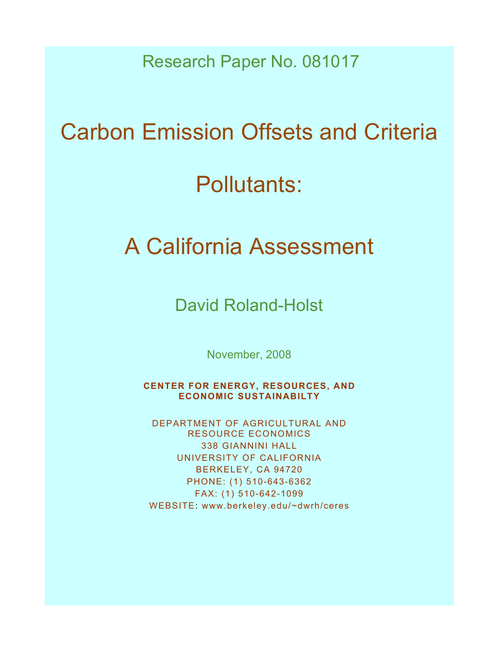Research Paper No. 081017

# Carbon Emission Offsets and Criteria

# Pollutants:

# A California Assessment

David Roland-Holst

November, 2008

#### **CENTER FOR ENERGY, RESOURCES, AND ECONOMIC SUSTAINABILTY**

DEPARTMENT OF AGRICULTURAL AND RESOURCE ECONOMICS 338 GIANNINI HALL UNIVERSITY OF CALIFORNIA BERKELEY, CA 94720 PHONE: (1) 510-643-6362 FAX: (1) 510-642-1099 WEBSITE: www.berkeley.edu/~dwrh/ceres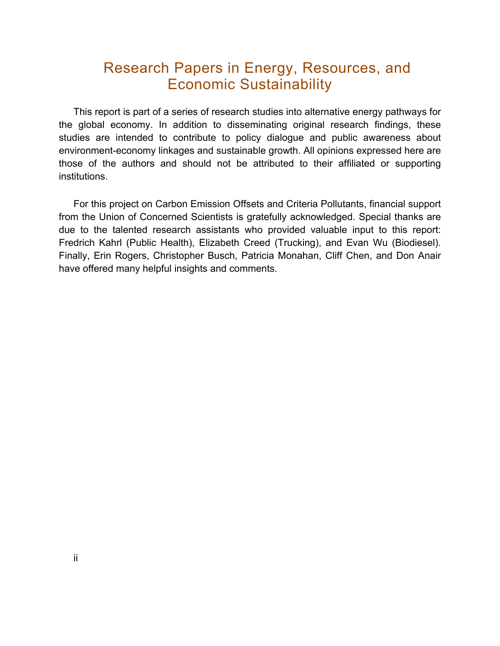# Research Papers in Energy, Resources, and Economic Sustainability

This report is part of a series of research studies into alternative energy pathways for the global economy. In addition to disseminating original research findings, these studies are intended to contribute to policy dialogue and public awareness about environment-economy linkages and sustainable growth. All opinions expressed here are those of the authors and should not be attributed to their affiliated or supporting institutions.

For this project on Carbon Emission Offsets and Criteria Pollutants, financial support from the Union of Concerned Scientists is gratefully acknowledged. Special thanks are due to the talented research assistants who provided valuable input to this report: Fredrich Kahrl (Public Health), Elizabeth Creed (Trucking), and Evan Wu (Biodiesel). Finally, Erin Rogers, Christopher Busch, Patricia Monahan, Cliff Chen, and Don Anair have offered many helpful insights and comments.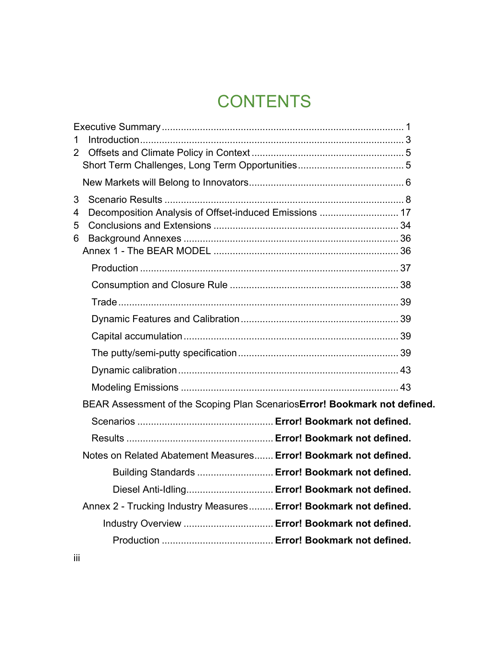# **CONTENTS**

| 1                                                                 |                                                                           |
|-------------------------------------------------------------------|---------------------------------------------------------------------------|
| $\overline{2}$                                                    |                                                                           |
|                                                                   |                                                                           |
| 3                                                                 |                                                                           |
| 4                                                                 | Decomposition Analysis of Offset-induced Emissions  17                    |
| 5                                                                 |                                                                           |
| 6                                                                 |                                                                           |
|                                                                   |                                                                           |
|                                                                   |                                                                           |
|                                                                   |                                                                           |
|                                                                   |                                                                           |
|                                                                   |                                                                           |
|                                                                   |                                                                           |
|                                                                   |                                                                           |
|                                                                   |                                                                           |
|                                                                   |                                                                           |
|                                                                   | BEAR Assessment of the Scoping Plan ScenariosError! Bookmark not defined. |
|                                                                   |                                                                           |
|                                                                   |                                                                           |
| Notes on Related Abatement Measures Error! Bookmark not defined.  |                                                                           |
|                                                                   | Building Standards  Error! Bookmark not defined.                          |
|                                                                   | Diesel Anti-Idling Error! Bookmark not defined.                           |
| Annex 2 - Trucking Industry Measures Error! Bookmark not defined. |                                                                           |
|                                                                   | Industry Overview  Error! Bookmark not defined.                           |
|                                                                   |                                                                           |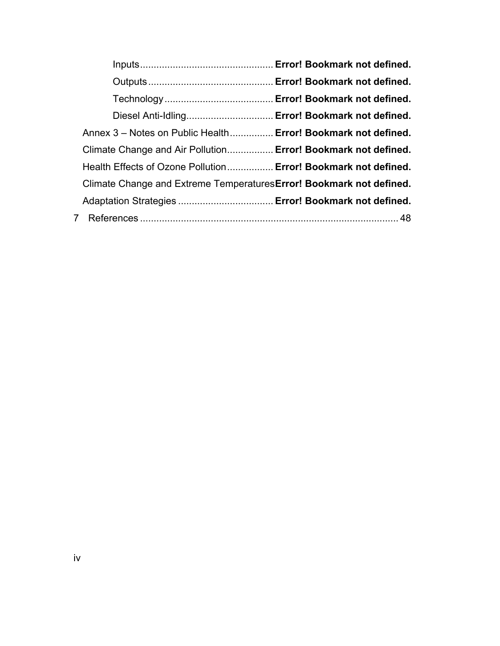| Diesel Anti-Idling Error! Bookmark not defined.                      |  |
|----------------------------------------------------------------------|--|
| Annex 3 – Notes on Public Health Error! Bookmark not defined.        |  |
| Climate Change and Air Pollution Error! Bookmark not defined.        |  |
| Health Effects of Ozone Pollution Error! Bookmark not defined.       |  |
| Climate Change and Extreme Temperatures Error! Bookmark not defined. |  |
|                                                                      |  |
|                                                                      |  |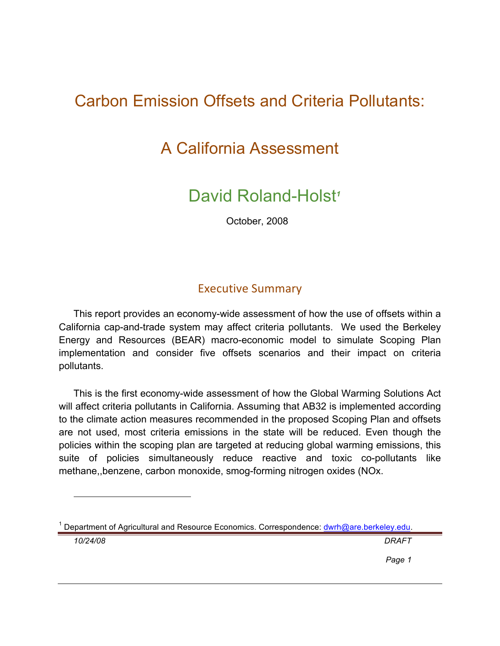# Carbon Emission Offsets and Criteria Pollutants:

# A California Assessment

# David Roland-Holst*<sup>1</sup>*

October, 2008

### **Executive Summary**

This report provides an economy-wide assessment of how the use of offsets within a California cap-and-trade system may affect criteria pollutants. We used the Berkeley Energy and Resources (BEAR) macro-economic model to simulate Scoping Plan implementation and consider five offsets scenarios and their impact on criteria pollutants.

This is the first economy-wide assessment of how the Global Warming Solutions Act will affect criteria pollutants in California. Assuming that AB32 is implemented according to the climate action measures recommended in the proposed Scoping Plan and offsets are not used, most criteria emissions in the state will be reduced. Even though the policies within the scoping plan are targeted at reducing global warming emissions, this suite of policies simultaneously reduce reactive and toxic co-pollutants like methane,,benzene, carbon monoxide, smog-forming nitrogen oxides (NOx.

<sup>1</sup> Department of Agricultural and Resource Economics. Correspondence:  $d$ wrh@are.berkeley.edu.

*10/24/08 DRAFT*

l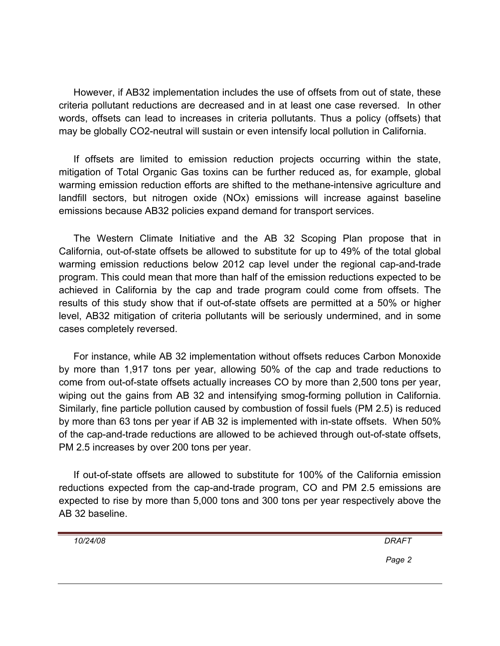However, if AB32 implementation includes the use of offsets from out of state, these criteria pollutant reductions are decreased and in at least one case reversed. In other words, offsets can lead to increases in criteria pollutants. Thus a policy (offsets) that may be globally CO2-neutral will sustain or even intensify local pollution in California.

If offsets are limited to emission reduction projects occurring within the state, mitigation of Total Organic Gas toxins can be further reduced as, for example, global warming emission reduction efforts are shifted to the methane-intensive agriculture and landfill sectors, but nitrogen oxide (NOx) emissions will increase against baseline emissions because AB32 policies expand demand for transport services.

The Western Climate Initiative and the AB 32 Scoping Plan propose that in California, out-of-state offsets be allowed to substitute for up to 49% of the total global warming emission reductions below 2012 cap level under the regional cap-and-trade program. This could mean that more than half of the emission reductions expected to be achieved in California by the cap and trade program could come from offsets. The results of this study show that if out-of-state offsets are permitted at a 50% or higher level, AB32 mitigation of criteria pollutants will be seriously undermined, and in some cases completely reversed.

For instance, while AB 32 implementation without offsets reduces Carbon Monoxide by more than 1,917 tons per year, allowing 50% of the cap and trade reductions to come from out-of-state offsets actually increases CO by more than 2,500 tons per year, wiping out the gains from AB 32 and intensifying smog-forming pollution in California. Similarly, fine particle pollution caused by combustion of fossil fuels (PM 2.5) is reduced by more than 63 tons per year if AB 32 is implemented with in-state offsets. When 50% of the cap-and-trade reductions are allowed to be achieved through out-of-state offsets, PM 2.5 increases by over 200 tons per year.

If out-of-state offsets are allowed to substitute for 100% of the California emission reductions expected from the cap-and-trade program, CO and PM 2.5 emissions are expected to rise by more than 5,000 tons and 300 tons per year respectively above the AB 32 baseline.

*10/24/08 DRAFT*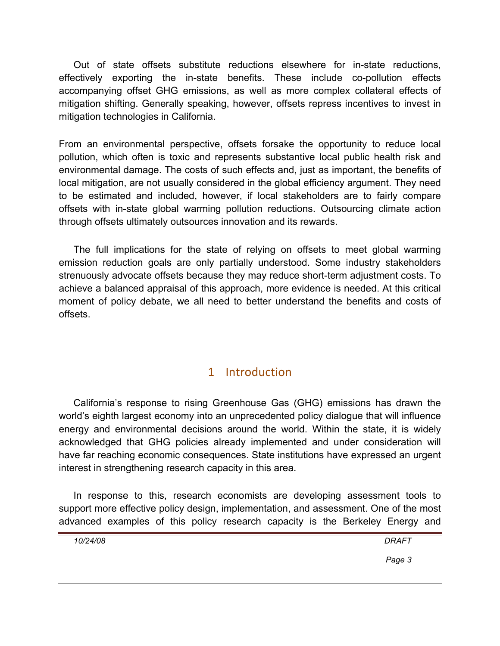Out of state offsets substitute reductions elsewhere for in-state reductions, effectively exporting the in-state benefits. These include co-pollution effects accompanying offset GHG emissions, as well as more complex collateral effects of mitigation shifting. Generally speaking, however, offsets repress incentives to invest in mitigation technologies in California.

From an environmental perspective, offsets forsake the opportunity to reduce local pollution, which often is toxic and represents substantive local public health risk and environmental damage. The costs of such effects and, just as important, the benefits of local mitigation, are not usually considered in the global efficiency argument. They need to be estimated and included, however, if local stakeholders are to fairly compare offsets with in-state global warming pollution reductions. Outsourcing climate action through offsets ultimately outsources innovation and its rewards.

The full implications for the state of relying on offsets to meet global warming emission reduction goals are only partially understood. Some industry stakeholders strenuously advocate offsets because they may reduce short-term adjustment costs. To achieve a balanced appraisal of this approach, more evidence is needed. At this critical moment of policy debate, we all need to better understand the benefits and costs of offsets.

# 1 Introduction

California's response to rising Greenhouse Gas (GHG) emissions has drawn the world's eighth largest economy into an unprecedented policy dialogue that will influence energy and environmental decisions around the world. Within the state, it is widely acknowledged that GHG policies already implemented and under consideration will have far reaching economic consequences. State institutions have expressed an urgent interest in strengthening research capacity in this area.

In response to this, research economists are developing assessment tools to support more effective policy design, implementation, and assessment. One of the most advanced examples of this policy research capacity is the Berkeley Energy and

| 10/24/08 | <b>DRAFT</b> |
|----------|--------------|
|          | Page 3       |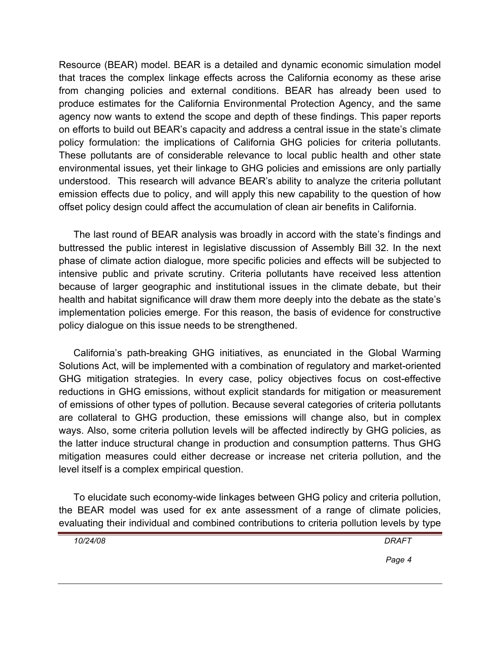Resource (BEAR) model. BEAR is a detailed and dynamic economic simulation model that traces the complex linkage effects across the California economy as these arise from changing policies and external conditions. BEAR has already been used to produce estimates for the California Environmental Protection Agency, and the same agency now wants to extend the scope and depth of these findings. This paper reports on efforts to build out BEAR's capacity and address a central issue in the state's climate policy formulation: the implications of California GHG policies for criteria pollutants. These pollutants are of considerable relevance to local public health and other state environmental issues, yet their linkage to GHG policies and emissions are only partially understood. This research will advance BEAR's ability to analyze the criteria pollutant emission effects due to policy, and will apply this new capability to the question of how offset policy design could affect the accumulation of clean air benefits in California.

The last round of BEAR analysis was broadly in accord with the state's findings and buttressed the public interest in legislative discussion of Assembly Bill 32. In the next phase of climate action dialogue, more specific policies and effects will be subjected to intensive public and private scrutiny. Criteria pollutants have received less attention because of larger geographic and institutional issues in the climate debate, but their health and habitat significance will draw them more deeply into the debate as the state's implementation policies emerge. For this reason, the basis of evidence for constructive policy dialogue on this issue needs to be strengthened.

California's path-breaking GHG initiatives, as enunciated in the Global Warming Solutions Act, will be implemented with a combination of regulatory and market-oriented GHG mitigation strategies. In every case, policy objectives focus on cost-effective reductions in GHG emissions, without explicit standards for mitigation or measurement of emissions of other types of pollution. Because several categories of criteria pollutants are collateral to GHG production, these emissions will change also, but in complex ways. Also, some criteria pollution levels will be affected indirectly by GHG policies, as the latter induce structural change in production and consumption patterns. Thus GHG mitigation measures could either decrease or increase net criteria pollution, and the level itself is a complex empirical question.

To elucidate such economy-wide linkages between GHG policy and criteria pollution, the BEAR model was used for ex ante assessment of a range of climate policies, evaluating their individual and combined contributions to criteria pollution levels by type

*10/24/08 DRAFT*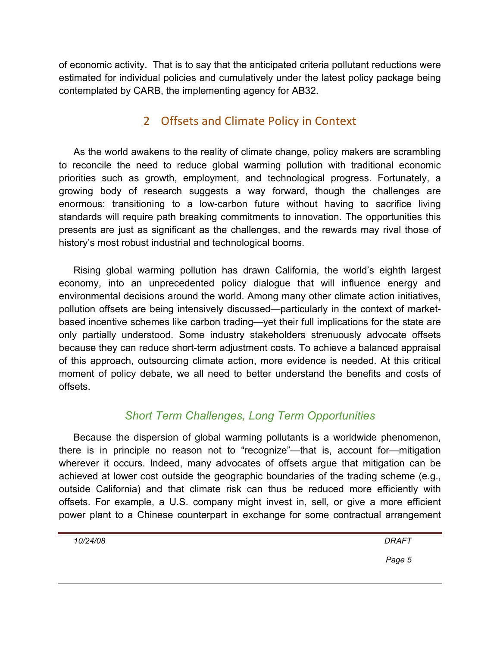of economic activity. That is to say that the anticipated criteria pollutant reductions were estimated for individual policies and cumulatively under the latest policy package being contemplated by CARB, the implementing agency for AB32.

# 2 Offsets and Climate Policy in Context

As the world awakens to the reality of climate change, policy makers are scrambling to reconcile the need to reduce global warming pollution with traditional economic priorities such as growth, employment, and technological progress. Fortunately, a growing body of research suggests a way forward, though the challenges are enormous: transitioning to a low-carbon future without having to sacrifice living standards will require path breaking commitments to innovation. The opportunities this presents are just as significant as the challenges, and the rewards may rival those of history's most robust industrial and technological booms.

Rising global warming pollution has drawn California, the world's eighth largest economy, into an unprecedented policy dialogue that will influence energy and environmental decisions around the world. Among many other climate action initiatives, pollution offsets are being intensively discussed—particularly in the context of marketbased incentive schemes like carbon trading—yet their full implications for the state are only partially understood. Some industry stakeholders strenuously advocate offsets because they can reduce short-term adjustment costs. To achieve a balanced appraisal of this approach, outsourcing climate action, more evidence is needed. At this critical moment of policy debate, we all need to better understand the benefits and costs of offsets.

# *Short Term Challenges, Long Term Opportunities*

Because the dispersion of global warming pollutants is a worldwide phenomenon, there is in principle no reason not to "recognize"—that is, account for—mitigation wherever it occurs. Indeed, many advocates of offsets argue that mitigation can be achieved at lower cost outside the geographic boundaries of the trading scheme (e.g., outside California) and that climate risk can thus be reduced more efficiently with offsets. For example, a U.S. company might invest in, sell, or give a more efficient power plant to a Chinese counterpart in exchange for some contractual arrangement

*10/24/08 DRAFT*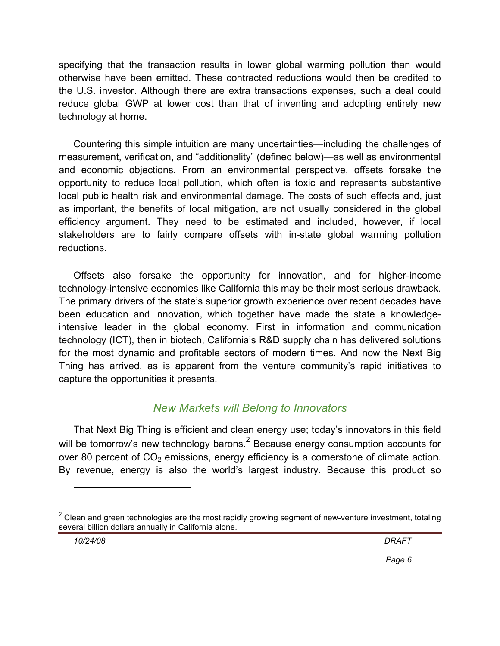specifying that the transaction results in lower global warming pollution than would otherwise have been emitted. These contracted reductions would then be credited to the U.S. investor. Although there are extra transactions expenses, such a deal could reduce global GWP at lower cost than that of inventing and adopting entirely new technology at home.

Countering this simple intuition are many uncertainties—including the challenges of measurement, verification, and "additionality" (defined below)—as well as environmental and economic objections. From an environmental perspective, offsets forsake the opportunity to reduce local pollution, which often is toxic and represents substantive local public health risk and environmental damage. The costs of such effects and, just as important, the benefits of local mitigation, are not usually considered in the global efficiency argument. They need to be estimated and included, however, if local stakeholders are to fairly compare offsets with in-state global warming pollution reductions.

Offsets also forsake the opportunity for innovation, and for higher-income technology-intensive economies like California this may be their most serious drawback. The primary drivers of the state's superior growth experience over recent decades have been education and innovation, which together have made the state a knowledgeintensive leader in the global economy. First in information and communication technology (ICT), then in biotech, California's R&D supply chain has delivered solutions for the most dynamic and profitable sectors of modern times. And now the Next Big Thing has arrived, as is apparent from the venture community's rapid initiatives to capture the opportunities it presents.

### *New Markets will Belong to Innovators*

That Next Big Thing is efficient and clean energy use; today's innovators in this field will be tomorrow's new technology barons.<sup>2</sup> Because energy consumption accounts for over 80 percent of  $CO<sub>2</sub>$  emissions, energy efficiency is a cornerstone of climate action. By revenue, energy is also the world's largest industry. Because this product so

*10/24/08 DRAFT*

l

 $2$  Clean and green technologies are the most rapidly growing segment of new-venture investment, totaling several billion dollars annually in California alone.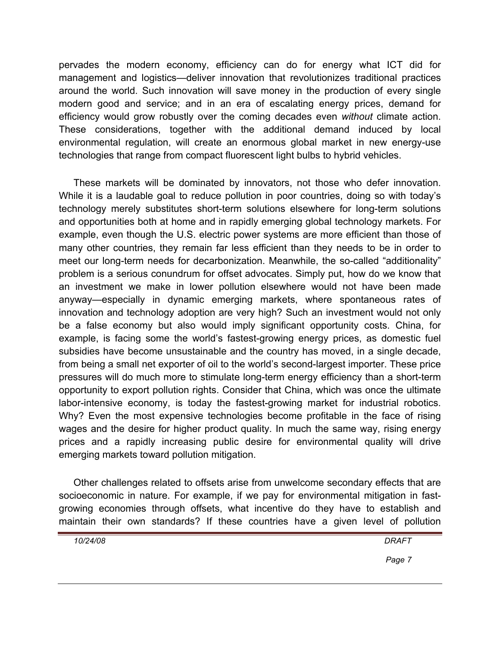pervades the modern economy, efficiency can do for energy what ICT did for management and logistics—deliver innovation that revolutionizes traditional practices around the world. Such innovation will save money in the production of every single modern good and service; and in an era of escalating energy prices, demand for efficiency would grow robustly over the coming decades even *without* climate action. These considerations, together with the additional demand induced by local environmental regulation, will create an enormous global market in new energy-use technologies that range from compact fluorescent light bulbs to hybrid vehicles.

These markets will be dominated by innovators, not those who defer innovation. While it is a laudable goal to reduce pollution in poor countries, doing so with today's technology merely substitutes short-term solutions elsewhere for long-term solutions and opportunities both at home and in rapidly emerging global technology markets. For example, even though the U.S. electric power systems are more efficient than those of many other countries, they remain far less efficient than they needs to be in order to meet our long-term needs for decarbonization. Meanwhile, the so-called "additionality" problem is a serious conundrum for offset advocates. Simply put, how do we know that an investment we make in lower pollution elsewhere would not have been made anyway—especially in dynamic emerging markets, where spontaneous rates of innovation and technology adoption are very high? Such an investment would not only be a false economy but also would imply significant opportunity costs. China, for example, is facing some the world's fastest-growing energy prices, as domestic fuel subsidies have become unsustainable and the country has moved, in a single decade, from being a small net exporter of oil to the world's second-largest importer. These price pressures will do much more to stimulate long-term energy efficiency than a short-term opportunity to export pollution rights. Consider that China, which was once the ultimate labor-intensive economy, is today the fastest-growing market for industrial robotics. Why? Even the most expensive technologies become profitable in the face of rising wages and the desire for higher product quality. In much the same way, rising energy prices and a rapidly increasing public desire for environmental quality will drive emerging markets toward pollution mitigation.

Other challenges related to offsets arise from unwelcome secondary effects that are socioeconomic in nature. For example, if we pay for environmental mitigation in fastgrowing economies through offsets, what incentive do they have to establish and maintain their own standards? If these countries have a given level of pollution

*10/24/08 DRAFT*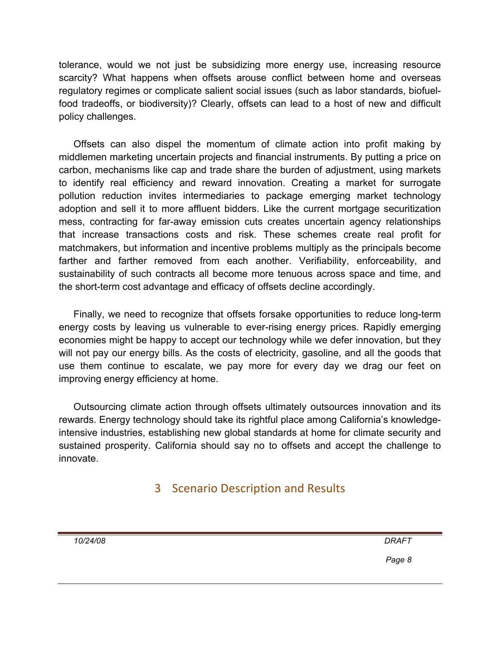tolerance, would we not just be subsidizing more energy use, increasing resource scarcity? What happens when offsets arouse conflict between home and overseas regulatory regimes or complicate salient social issues (such as labor standards, biofuelfood tradeoffs, or biodiversity)? Clearly, offsets can lead to a host of new and difficult policy challenges.

Offsets can also dispel the momentum of climate action into profit making by middlemen marketing uncertain projects and financial instruments. By putting a price on carbon, mechanisms like cap and trade share the burden of adjustment, using markets to identify real efficiency and reward innovation. Creating a market for surrogate pollution reduction invites intermediaries to package emerging market technology adoption and sell it to more affluent bidders. Like the current mortgage securitization mess, contracting for far-away emission cuts creates uncertain agency relationships that increase transactions costs and risk. These schemes create real profit for matchmakers, but information and incentive problems multiply as the principals become farther and farther removed from each another. Verifiability, enforceability, and sustainability of such contracts all become more tenuous across space and time, and the short-term cost advantage and efficacy of offsets decline accordingly.

Finally, we need to recognize that offsets forsake opportunities to reduce long-term energy costs by leaving us vulnerable to ever-rising energy prices. Rapidly emerging economies might be happy to accept our technology while we defer innovation, but they will not pay our energy bills. As the costs of electricity, gasoline, and all the goods that use them continue to escalate, we pay more for every day we drag our feet on improving energy efficiency at home.

Outsourcing climate action through offsets ultimately outsources innovation and its rewards. Energy technology should take its rightful place among California's knowledgeintensive industries, establishing new global standards at home for climate security and sustained prosperity. California should say no to offsets and accept the challenge to innovate.

# 3 Scenario Description and Results

*10/24/08 DRAFT*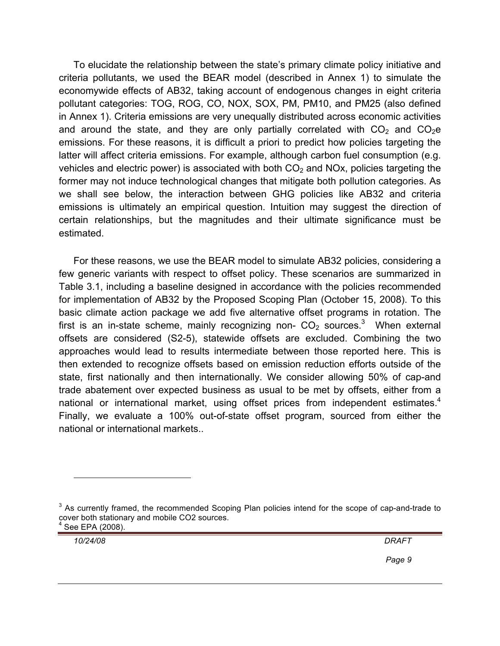To elucidate the relationship between the state's primary climate policy initiative and criteria pollutants, we used the BEAR model (described in Annex 1) to simulate the economywide effects of AB32, taking account of endogenous changes in eight criteria pollutant categories: TOG, ROG, CO, NOX, SOX, PM, PM10, and PM25 (also defined in Annex 1). Criteria emissions are very unequally distributed across economic activities and around the state, and they are only partially correlated with  $CO<sub>2</sub>$  and  $CO<sub>2</sub>e$ emissions. For these reasons, it is difficult a priori to predict how policies targeting the latter will affect criteria emissions. For example, although carbon fuel consumption (e.g. vehicles and electric power) is associated with both  $CO<sub>2</sub>$  and NOx, policies targeting the former may not induce technological changes that mitigate both pollution categories. As we shall see below, the interaction between GHG policies like AB32 and criteria emissions is ultimately an empirical question. Intuition may suggest the direction of certain relationships, but the magnitudes and their ultimate significance must be estimated.

For these reasons, we use the BEAR model to simulate AB32 policies, considering a few generic variants with respect to offset policy. These scenarios are summarized in Table 3.1, including a baseline designed in accordance with the policies recommended for implementation of AB32 by the Proposed Scoping Plan (October 15, 2008). To this basic climate action package we add five alternative offset programs in rotation. The first is an in-state scheme, mainly recognizing non-  $CO_2$  sources.<sup>3</sup> When external offsets are considered (S2-5), statewide offsets are excluded. Combining the two approaches would lead to results intermediate between those reported here. This is then extended to recognize offsets based on emission reduction efforts outside of the state, first nationally and then internationally. We consider allowing 50% of cap-and trade abatement over expected business as usual to be met by offsets, either from a national or international market, using offset prices from independent estimates.<sup>4</sup> Finally, we evaluate a 100% out-of-state offset program, sourced from either the national or international markets..

*10/24/08 DRAFT*

l

 $3$  As currently framed, the recommended Scoping Plan policies intend for the scope of cap-and-trade to cover both stationary and mobile CO2 sources. See EPA (2008).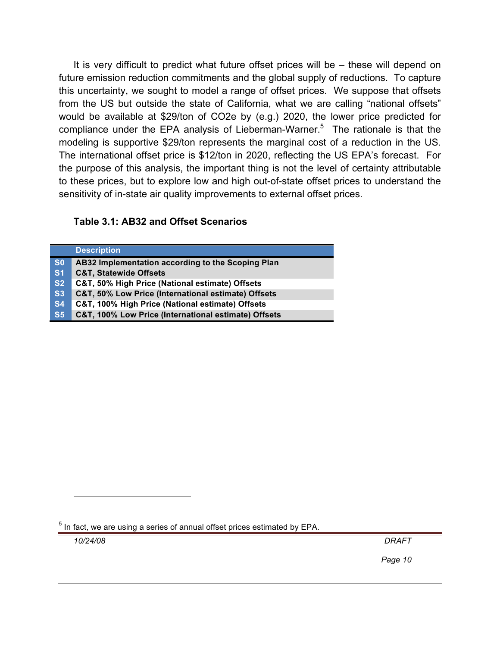It is very difficult to predict what future offset prices will be – these will depend on future emission reduction commitments and the global supply of reductions. To capture this uncertainty, we sought to model a range of offset prices. We suppose that offsets from the US but outside the state of California, what we are calling "national offsets" would be available at \$29/ton of CO2e by (e.g.) 2020, the lower price predicted for compliance under the EPA analysis of Lieberman-Warner.<sup>5</sup> The rationale is that the modeling is supportive \$29/ton represents the marginal cost of a reduction in the US. The international offset price is \$12/ton in 2020, reflecting the US EPA's forecast. For the purpose of this analysis, the important thing is not the level of certainty attributable to these prices, but to explore low and high out-of-state offset prices to understand the sensitivity of in-state air quality improvements to external offset prices.

#### **Table 3.1: AB32 and Offset Scenarios**

|                 | <b>Description</b>                                   |
|-----------------|------------------------------------------------------|
| SO <sub>2</sub> | AB32 Implementation according to the Scoping Plan    |
| S <sub>1</sub>  | <b>C&amp;T, Statewide Offsets</b>                    |
| S <sub>2</sub>  | C&T, 50% High Price (National estimate) Offsets      |
| S3              | C&T, 50% Low Price (International estimate) Offsets  |
| S <sub>4</sub>  | C&T, 100% High Price (National estimate) Offsets     |
| <b>S5/</b>      | C&T, 100% Low Price (International estimate) Offsets |

 $5$  In fact, we are using a series of annual offset prices estimated by EPA.

*10/24/08 DRAFT*

l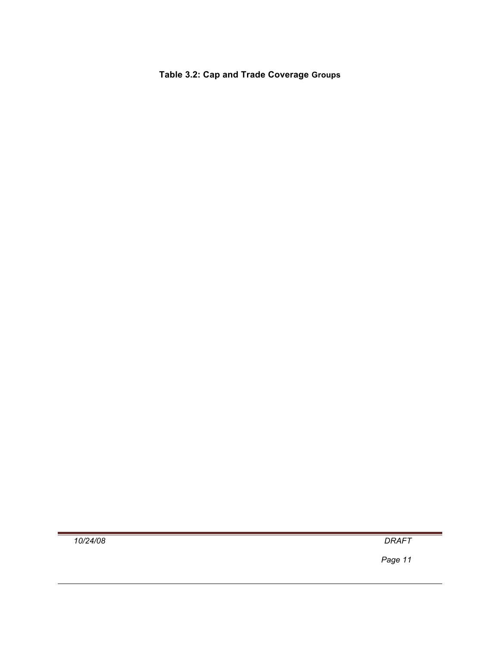## **Table 3.2: Cap and Trade Coverage Groups**

*10/24/08 DRAFT*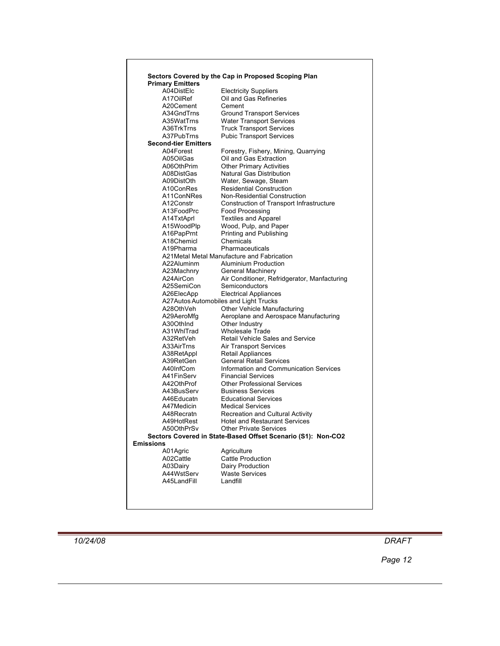| <b>Primary Emitters</b><br>A04DistElc | <b>Electricity Suppliers</b>                                         |
|---------------------------------------|----------------------------------------------------------------------|
| A17OilRef                             | Oil and Gas Refineries                                               |
| A20Cement                             | Cement                                                               |
| A34GndTrns                            | <b>Ground Transport Services</b>                                     |
| A35WatTrns                            | <b>Water Transport Services</b>                                      |
| A36TrkTrns                            | <b>Truck Transport Services</b>                                      |
| A37PubTrns                            | <b>Pubic Transport Services</b>                                      |
| <b>Second-tier Emitters</b>           |                                                                      |
| A04Forest                             | Forestry, Fishery, Mining, Quarrying                                 |
| A05OilGas                             | Oil and Gas Extraction                                               |
| A06OthPrim                            | <b>Other Primary Activities</b>                                      |
| A08DistGas                            | <b>Natural Gas Distribution</b>                                      |
| A09DistOth                            | Water, Sewage, Steam                                                 |
| A10ConRes                             | <b>Residential Construction</b>                                      |
| A11ConNRes                            | Non-Residential Construction                                         |
| A12Constr                             | Construction of Transport Infrastructure                             |
| A13FoodPrc                            | <b>Food Processing</b>                                               |
| A14TxtAprl                            | <b>Textiles and Apparel</b>                                          |
| A15WoodPlp                            | Wood, Pulp, and Paper                                                |
| A16PapPrnt                            | Printing and Publishing                                              |
| A18Chemicl                            | Chemicals                                                            |
| A19Pharma                             | Pharmaceuticals                                                      |
|                                       | A21Metal Metal Manufacture and Fabrication                           |
| A22Aluminm                            | <b>Aluminium Production</b>                                          |
| A23Machnry                            | General Machinery                                                    |
| A24AirCon<br>A25SemiCon               | Air Conditioner, Refridgerator, Manfacturing                         |
|                                       | Semiconductors                                                       |
| A26ElecApp                            | <b>Electrical Appliances</b>                                         |
| A28OthVeh                             | A27Autos Automobiles and Light Trucks<br>Other Vehicle Manufacturing |
| A29AeroMfg                            | Aeroplane and Aerospace Manufacturing                                |
| A30OthInd                             | Other Industry                                                       |
| A31WhlTrad                            | <b>Wholesale Trade</b>                                               |
| A32RetVeh                             | <b>Retail Vehicle Sales and Service</b>                              |
| A33AirTrns                            | Air Transport Services                                               |
| A38RetAppl                            | <b>Retail Appliances</b>                                             |
| A39RetGen                             | <b>General Retail Services</b>                                       |
| A40InfCom                             | Information and Communication Services                               |
| A41FinServ                            | <b>Financial Services</b>                                            |
| A42OthProf                            | <b>Other Professional Services</b>                                   |
| A43BusServ                            | <b>Business Services</b>                                             |
| A46Educatn                            | <b>Educational Services</b>                                          |
| A47Medicin                            | <b>Medical Services</b>                                              |
| A48Recratn                            | Recreation and Cultural Activity                                     |
| A49HotRest                            | <b>Hotel and Restaurant Services</b>                                 |
| A50OthPrSv                            | <b>Other Private Services</b>                                        |
|                                       | Sectors Covered in State-Based Offset Scenario (S1): Non-CO2         |
| <b>Emissions</b>                      |                                                                      |
| A01Agric                              | Agriculture                                                          |
| A02Cattle                             | Cattle Production                                                    |
| A03Dairy                              | Dairy Production                                                     |
| A44WstServ<br>A45LandFill             | <b>Waste Services</b><br>Landfill                                    |

*10/24/08 DRAFT*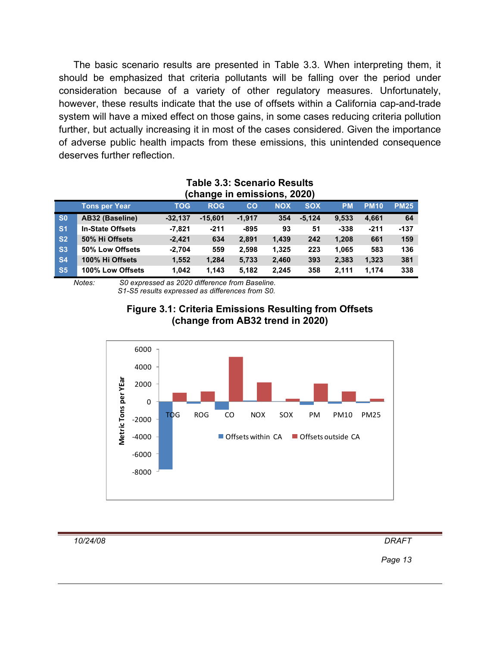The basic scenario results are presented in Table 3.3. When interpreting them, it should be emphasized that criteria pollutants will be falling over the period under consideration because of a variety of other regulatory measures. Unfortunately, however, these results indicate that the use of offsets within a California cap-and-trade system will have a mixed effect on those gains, in some cases reducing criteria pollution further, but actually increasing it in most of the cases considered. Given the importance of adverse public health impacts from these emissions, this unintended consequence deserves further reflection.

#### **Table 3.3: Scenario Results (change in emissions, 2020)**

|                | Tons per Year           | <b>TOG</b> | <b>ROG</b> | CO       | <b>NOX</b> | <b>SOX</b> | <b>PM</b> | <b>PM10</b> | <b>PM25</b> |
|----------------|-------------------------|------------|------------|----------|------------|------------|-----------|-------------|-------------|
| <sub>S0</sub>  | AB32 (Baseline)         | $-32.137$  | $-15.601$  | $-1.917$ | 354        | $-5.124$   | 9.533     | 4,661       | 64          |
| S <sub>1</sub> | <b>In-State Offsets</b> | -7.821     | $-211$     | $-895$   | 93         | 51         | -338      | $-211$      | $-137$      |
| S <sub>2</sub> | 50% Hi Offsets          | $-2.421$   | 634        | 2.891    | 1.439      | 242        | 1.208     | 661         | 159         |
| S <sub>3</sub> | 50% Low Offsets         | $-2.704$   | 559        | 2.598    | 1.325      | 223        | 1.065     | 583         | 136         |
| S <sub>4</sub> | 100% Hi Offsets         | 1.552      | 1.284      | 5,733    | 2.460      | 393        | 2.383     | 1,323       | 381         |
| S <sub>5</sub> | 100% Low Offsets        | 1.042      | 1.143      | 5.182    | 2.245      | 358        | 2.111     | 1.174       | 338         |

*Notes: S0 expressed as 2020 difference from Baseline. S1-S5 results expressed as differences from S0.*



#### **Figure 3.1: Criteria Emissions Resulting from Offsets (change from AB32 trend in 2020)**

*10/24/08 DRAFT*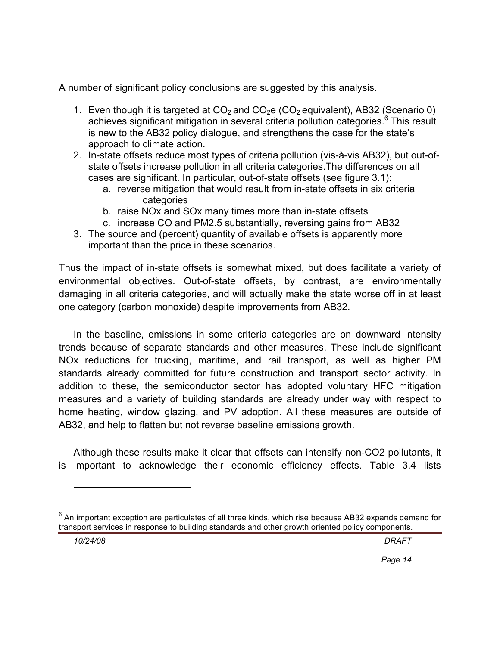A number of significant policy conclusions are suggested by this analysis.

- 1. Even though it is targeted at  $CO<sub>2</sub>$  and  $CO<sub>2</sub>e$  (CO<sub>2</sub> equivalent), AB32 (Scenario 0) achieves significant mitigation in several criteria pollution categories.<sup>6</sup> This result is new to the AB32 policy dialogue, and strengthens the case for the state's approach to climate action.
- 2. In-state offsets reduce most types of criteria pollution (vis-à-vis AB32), but out-ofstate offsets increase pollution in all criteria categories.The differences on all cases are significant. In particular, out-of-state offsets (see figure 3.1):
	- a. reverse mitigation that would result from in-state offsets in six criteria **categories**
	- b. raise NOx and SOx many times more than in-state offsets
	- c. increase CO and PM2.5 substantially, reversing gains from AB32
- 3. The source and (percent) quantity of available offsets is apparently more important than the price in these scenarios.

Thus the impact of in-state offsets is somewhat mixed, but does facilitate a variety of environmental objectives. Out-of-state offsets, by contrast, are environmentally damaging in all criteria categories, and will actually make the state worse off in at least one category (carbon monoxide) despite improvements from AB32.

In the baseline, emissions in some criteria categories are on downward intensity trends because of separate standards and other measures. These include significant NOx reductions for trucking, maritime, and rail transport, as well as higher PM standards already committed for future construction and transport sector activity. In addition to these, the semiconductor sector has adopted voluntary HFC mitigation measures and a variety of building standards are already under way with respect to home heating, window glazing, and PV adoption. All these measures are outside of AB32, and help to flatten but not reverse baseline emissions growth.

Although these results make it clear that offsets can intensify non-CO2 pollutants, it is important to acknowledge their economic efficiency effects. Table 3.4 lists

l

 $6$  An important exception are particulates of all three kinds, which rise because AB32 expands demand for transport services in response to building standards and other growth oriented policy components.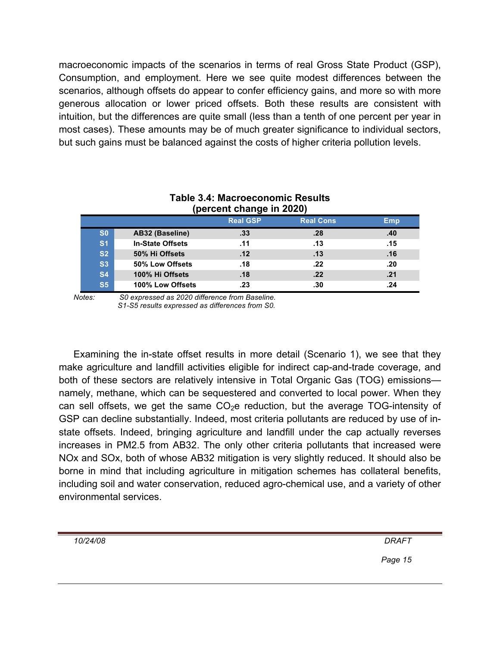macroeconomic impacts of the scenarios in terms of real Gross State Product (GSP), Consumption, and employment. Here we see quite modest differences between the scenarios, although offsets do appear to confer efficiency gains, and more so with more generous allocation or lower priced offsets. Both these results are consistent with intuition, but the differences are quite small (less than a tenth of one percent per year in most cases). These amounts may be of much greater significance to individual sectors, but such gains must be balanced against the costs of higher criteria pollution levels.

| (percent change in 2020) |                         |                 |                  |      |  |  |  |  |
|--------------------------|-------------------------|-----------------|------------------|------|--|--|--|--|
|                          |                         | <b>Real GSP</b> | <b>Real Cons</b> | Emp/ |  |  |  |  |
| SO <sub>2</sub>          | AB32 (Baseline)         | .33             | .28              | .40  |  |  |  |  |
| S <sub>1</sub>           | <b>In-State Offsets</b> | .11             | .13              | .15  |  |  |  |  |
| S <sub>2</sub>           | 50% Hi Offsets          | .12             | .13              | .16  |  |  |  |  |
| S3                       | 50% Low Offsets         | .18             | .22              | .20  |  |  |  |  |
| <b>S4</b>                | 100% Hi Offsets         | .18             | .22              | .21  |  |  |  |  |
| S <sub>5</sub>           | 100% Low Offsets        | .23             | .30              | .24  |  |  |  |  |

#### **Table 3.4: Macroeconomic Results (percent change in 2020)**

*Notes: S0 expressed as 2020 difference from Baseline. S1-S5 results expressed as differences from S0.*

Examining the in-state offset results in more detail (Scenario 1), we see that they make agriculture and landfill activities eligible for indirect cap-and-trade coverage, and both of these sectors are relatively intensive in Total Organic Gas (TOG) emissions namely, methane, which can be sequestered and converted to local power. When they can sell offsets, we get the same  $CO<sub>2</sub>e$  reduction, but the average TOG-intensity of GSP can decline substantially. Indeed, most criteria pollutants are reduced by use of instate offsets. Indeed, bringing agriculture and landfill under the cap actually reverses increases in PM2.5 from AB32. The only other criteria pollutants that increased were NOx and SOx, both of whose AB32 mitigation is very slightly reduced. It should also be borne in mind that including agriculture in mitigation schemes has collateral benefits, including soil and water conservation, reduced agro-chemical use, and a variety of other environmental services.

*10/24/08 DRAFT Page 15*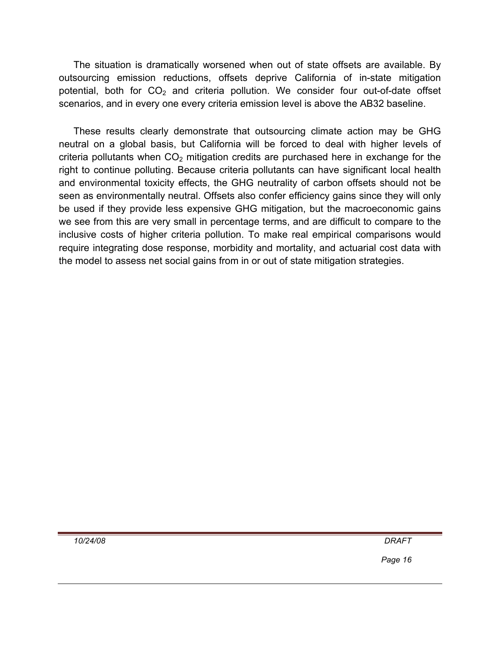The situation is dramatically worsened when out of state offsets are available. By outsourcing emission reductions, offsets deprive California of in-state mitigation potential, both for  $CO<sub>2</sub>$  and criteria pollution. We consider four out-of-date offset scenarios, and in every one every criteria emission level is above the AB32 baseline.

These results clearly demonstrate that outsourcing climate action may be GHG neutral on a global basis, but California will be forced to deal with higher levels of criteria pollutants when  $CO<sub>2</sub>$  mitigation credits are purchased here in exchange for the right to continue polluting. Because criteria pollutants can have significant local health and environmental toxicity effects, the GHG neutrality of carbon offsets should not be seen as environmentally neutral. Offsets also confer efficiency gains since they will only be used if they provide less expensive GHG mitigation, but the macroeconomic gains we see from this are very small in percentage terms, and are difficult to compare to the inclusive costs of higher criteria pollution. To make real empirical comparisons would require integrating dose response, morbidity and mortality, and actuarial cost data with the model to assess net social gains from in or out of state mitigation strategies.

*10/24/08 DRAFT*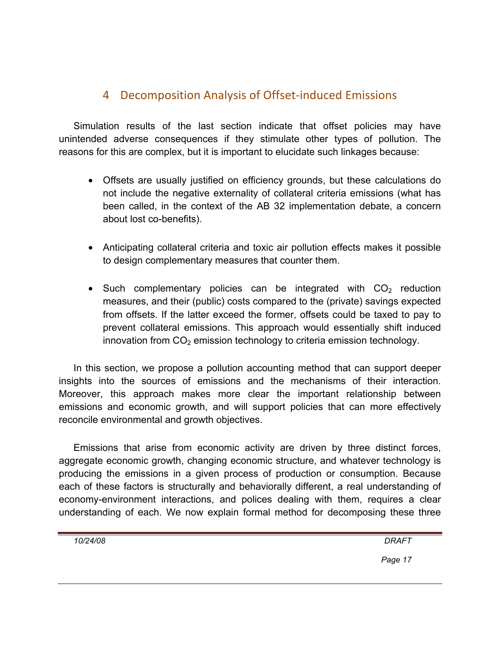# 4 Decomposition Analysis of Offset-induced Emissions

Simulation results of the last section indicate that offset policies may have unintended adverse consequences if they stimulate other types of pollution. The reasons for this are complex, but it is important to elucidate such linkages because:

- Offsets are usually justified on efficiency grounds, but these calculations do not include the negative externality of collateral criteria emissions (what has been called, in the context of the AB 32 implementation debate, a concern about lost co-benefits).
- Anticipating collateral criteria and toxic air pollution effects makes it possible to design complementary measures that counter them.
- Such complementary policies can be integrated with  $CO<sub>2</sub>$  reduction measures, and their (public) costs compared to the (private) savings expected from offsets. If the latter exceed the former, offsets could be taxed to pay to prevent collateral emissions. This approach would essentially shift induced innovation from  $CO<sub>2</sub>$  emission technology to criteria emission technology.

In this section, we propose a pollution accounting method that can support deeper insights into the sources of emissions and the mechanisms of their interaction. Moreover, this approach makes more clear the important relationship between emissions and economic growth, and will support policies that can more effectively reconcile environmental and growth objectives.

Emissions that arise from economic activity are driven by three distinct forces, aggregate economic growth, changing economic structure, and whatever technology is producing the emissions in a given process of production or consumption. Because each of these factors is structurally and behaviorally different, a real understanding of economy-environment interactions, and polices dealing with them, requires a clear understanding of each. We now explain formal method for decomposing these three

*10/24/08 DRAFT*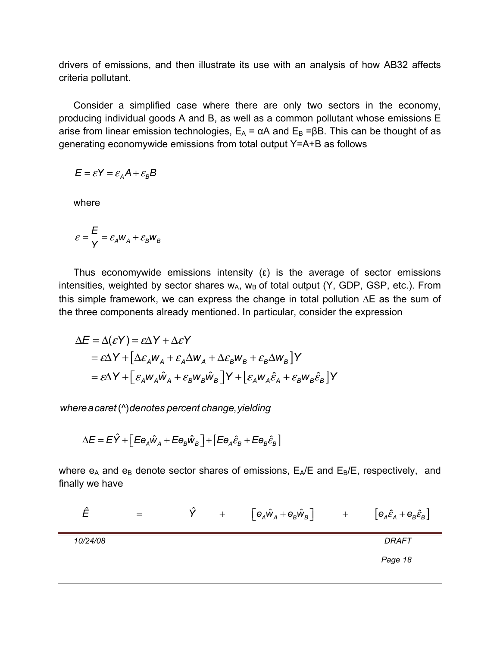drivers of emissions, and then illustrate its use with an analysis of how AB32 affects criteria pollutant.

Consider a simplified case where there are only two sectors in the economy, producing individual goods A and B, as well as a common pollutant whose emissions E arise from linear emission technologies,  $E_A = \alpha A$  and  $E_B = \beta B$ . This can be thought of as generating economywide emissions from total output Y=A+B as follows

$$
E = \varepsilon Y = \varepsilon_A A + \varepsilon_B B
$$

where

$$
\varepsilon = \frac{E}{Y} = \varepsilon_A w_A + \varepsilon_B w_B
$$

Thus economywide emissions intensity (ε) is the average of sector emissions intensities, weighted by sector shares  $w_A$ ,  $w_B$  of total output (Y, GDP, GSP, etc.). From this simple framework, we can express the change in total pollution  $\Delta E$  as the sum of the three components already mentioned. In particular, consider the expression

$$
\Delta E = \Delta(\varepsilon Y) = \varepsilon \Delta Y + \Delta \varepsilon Y
$$
  
=  $\varepsilon \Delta Y + [\Delta \varepsilon_A w_A + \varepsilon_A \Delta w_A + \Delta \varepsilon_B w_B + \varepsilon_B \Delta w_B]Y$   
=  $\varepsilon \Delta Y + [\varepsilon_A w_A \hat{w}_A + \varepsilon_B w_B \hat{w}_B]Y + [\varepsilon_A w_A \hat{\varepsilon}_A + \varepsilon_B w_B \hat{\varepsilon}_B]Y$ 

*where a caret (^) denotes percent change, yielding* 

$$
\Delta E = E\hat{Y} + [E e_A \hat{w}_A + E e_B \hat{w}_B] + [E e_A \hat{\varepsilon}_B + E e_B \hat{\varepsilon}_B]
$$

where  $e_A$  and  $e_B$  denote sector shares of emissions,  $E_A/E$  and  $E_B/E$ , respectively, and finally we have

$$
\hat{E} = \hat{Y} + \left[e_A \hat{w}_A + e_B \hat{w}_B\right] + \left[e_A \hat{\epsilon}_A + e_B \hat{\epsilon}_B\right]
$$
  
10/24/08  
DRAFT  
Page 18

÷,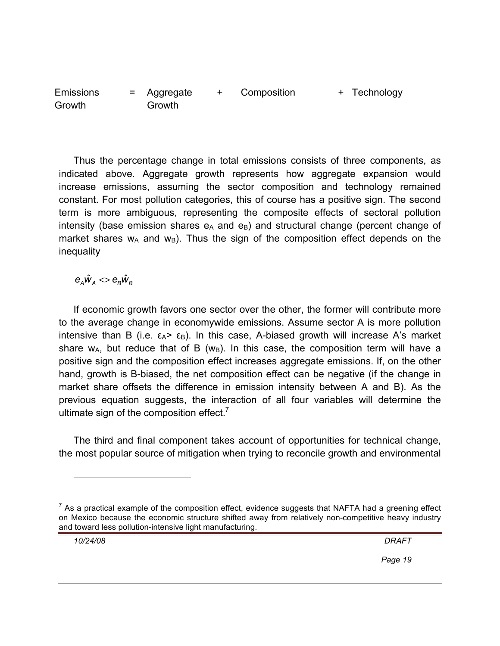| <b>Emissions</b> | Aggregate | Composition | + Technology |
|------------------|-----------|-------------|--------------|
| Growth           | Growth    |             |              |

Thus the percentage change in total emissions consists of three components, as indicated above. Aggregate growth represents how aggregate expansion would increase emissions, assuming the sector composition and technology remained constant. For most pollution categories, this of course has a positive sign. The second term is more ambiguous, representing the composite effects of sectoral pollution intensity (base emission shares  $e_A$  and  $e_B$ ) and structural change (percent change of market shares  $w_A$  and  $w_B$ ). Thus the sign of the composition effect depends on the inequality

 $e_{\scriptscriptstyle A} \hat{w}_{\scriptscriptstyle A} <\!\!> e_{\scriptscriptstyle B} \hat{w}_{\scriptscriptstyle B}$ 

If economic growth favors one sector over the other, the former will contribute more to the average change in economywide emissions. Assume sector A is more pollution intensive than B (i.e.  $\epsilon_A > \epsilon_B$ ). In this case, A-biased growth will increase A's market share  $w_A$ , but reduce that of B ( $w_B$ ). In this case, the composition term will have a positive sign and the composition effect increases aggregate emissions. If, on the other hand, growth is B-biased, the net composition effect can be negative (if the change in market share offsets the difference in emission intensity between A and B). As the previous equation suggests, the interaction of all four variables will determine the ultimate sign of the composition effect.<sup>7</sup>

The third and final component takes account of opportunities for technical change, the most popular source of mitigation when trying to reconcile growth and environmental

l

 $<sup>7</sup>$  As a practical example of the composition effect, evidence suggests that NAFTA had a greening effect</sup> on Mexico because the economic structure shifted away from relatively non-competitive heavy industry and toward less pollution-intensive light manufacturing.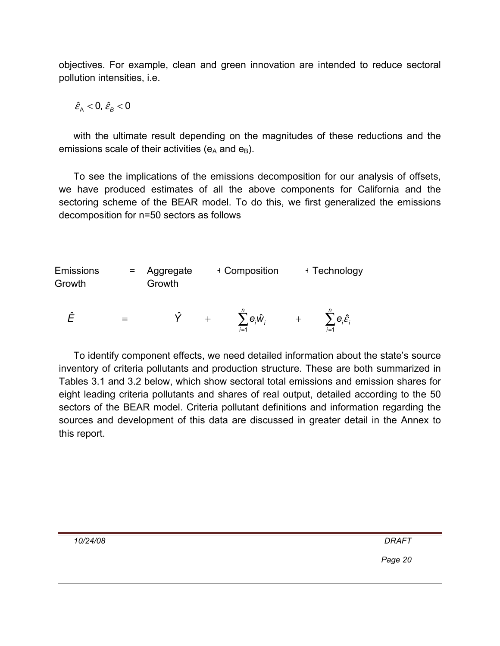objectives. For example, clean and green innovation are intended to reduce sectoral pollution intensities, i.e.

$$
\hat{\mathcal{E}}_{A}<0,\,\hat{\mathcal{E}}_{B}<0
$$

with the ultimate result depending on the magnitudes of these reductions and the emissions scale of their activities ( $e_A$  and  $e_B$ ).

To see the implications of the emissions decomposition for our analysis of offsets, we have produced estimates of all the above components for California and the sectoring scheme of the BEAR model. To do this, we first generalized the emissions decomposition for n=50 sectors as follows

| <b>Emissions</b><br>Growth | Aggregate<br>$=$<br>Growth |  | + Composition                    | + Technology |                                   |  |
|----------------------------|----------------------------|--|----------------------------------|--------------|-----------------------------------|--|
|                            |                            |  | $\big\}$ e, $\hat{w}$ ,<br>$i=1$ |              | $e_i\hat{\mathcal{E}}_i$<br>$i=1$ |  |

To identify component effects, we need detailed information about the state's source inventory of criteria pollutants and production structure. These are both summarized in Tables 3.1 and 3.2 below, which show sectoral total emissions and emission shares for eight leading criteria pollutants and shares of real output, detailed according to the 50 sectors of the BEAR model. Criteria pollutant definitions and information regarding the sources and development of this data are discussed in greater detail in the Annex to this report.

| 10/24/08 | DRAFT   |
|----------|---------|
|          | Page 20 |
|          |         |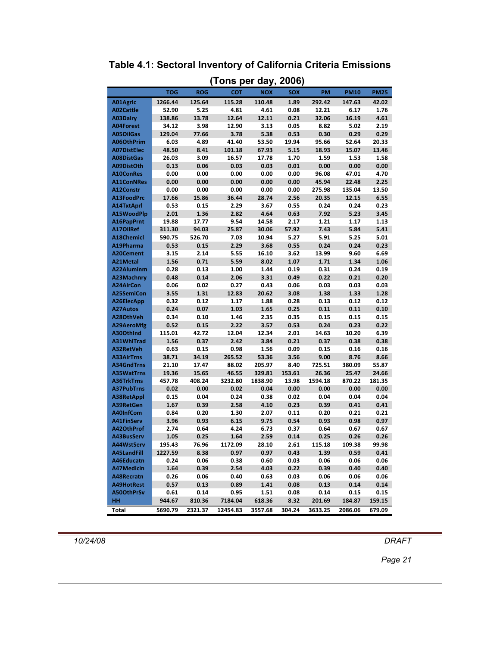| (Tons per day, 2006)         |              |              |              |               |              |              |                |              |  |  |
|------------------------------|--------------|--------------|--------------|---------------|--------------|--------------|----------------|--------------|--|--|
|                              | <b>TOG</b>   | <b>ROG</b>   | <b>COT</b>   | <b>NOX</b>    | <b>SOX</b>   | PM           | <b>PM10</b>    | <b>PM25</b>  |  |  |
| A01Agric                     | 1266.44      | 125.64       | 115.28       | 110.48        | 1.89         | 292.42       | 147.63         | 42.02        |  |  |
| <b>A02Cattle</b>             | 52.90        | 5.25         | 4.81         | 4.61          | 0.08         | 12.21        | 6.17           | 1.76         |  |  |
| <b>A03Dairy</b>              | 138.86       | 13.78        | 12.64        | 12.11         | 0.21         | 32.06        | 16.19          | 4.61         |  |  |
| <b>A04Forest</b>             | 34.12        | 3.98         | 12.90        | 3.13          | 0.05         | 8.82         | 5.02           | 2.19         |  |  |
| A05OilGas                    | 129.04       | 77.66        | 3.78         | 5.38          | 0.53         | 0.30         | 0.29           | 0.29         |  |  |
| A06OthPrim                   | 6.03         | 4.89         | 41.40        | 53.50         | 19.94        | 95.66        | 52.64          | 20.33        |  |  |
| <b>A07DistElec</b>           | 48.50        | 8.41         | 101.18       | 67.93         | 5.15         | 18.93        | 15.07          | 13.46        |  |  |
| <b>A08DistGas</b>            | 26.03        | 3.09         | 16.57        | 17.78         | 1.70         | 1.59         | 1.53           | 1.58         |  |  |
| A09DistOth                   | 0.13         | 0.06         | 0.03         | 0.03          | 0.01         | 0.00         | 0.00           | 0.00         |  |  |
| A10ConRes                    | 0.00         | 0.00         | 0.00         | 0.00          | 0.00         | 96.08        | 47.01          | 4.70         |  |  |
| <b>A11ConNRes</b>            | 0.00         | 0.00         | 0.00         | 0.00          | 0.00         | 45.94        | 22.48          | 2.25         |  |  |
| A12Constr                    | 0.00         | 0.00         | 0.00         | 0.00          | 0.00         | 275.98       | 135.04         | 13.50        |  |  |
| A13FoodPrc                   | 17.66        | 15.86        | 36.44        | 28.74         | 2.56         | 20.35        | 12.15          | 6.55         |  |  |
| A14TxtAprl                   | 0.53         | 0.15         | 2.29         | 3.67          | 0.55         | 0.24         | 0.24           | 0.23         |  |  |
| A15WoodPlp                   | 2.01         | 1.36         | 2.82         | 4.64          | 0.63         | 7.92         | 5.23           | 3.45         |  |  |
| A16PapPrnt                   | 19.88        | 17.77        | 9.54         | 14.58         | 2.17         | 1.21         | 1.17           | 1.13         |  |  |
| A17OilRef                    | 311.30       | 94.03        | 25.87        | 30.06         | 57.92        | 7.43         | 5.84           | 5.41         |  |  |
| A18Chemicl                   | 590.75       | 526.70       | 7.03         | 10.94         | 5.27         | 5.91         | 5.25           | 5.01         |  |  |
| A19Pharma                    | 0.53         | 0.15         | 2.29         | 3.68<br>16.10 | 0.55         | 0.24         | 0.24           | 0.23         |  |  |
| <b>A20Cement</b><br>A21Metal | 3.15         | 2.14         | 5.55         |               | 3.62         | 13.99        | 9.60           | 6.69         |  |  |
| A22Aluminm                   | 1.56         | 0.71<br>0.13 | 5.59         | 8.02          | 1.07         | 1.71         | 1.34<br>0.24   | 1.06         |  |  |
| A23Machnry                   | 0.28<br>0.48 | 0.14         | 1.00<br>2.06 | 1.44<br>3.31  | 0.19<br>0.49 | 0.31<br>0.22 | 0.21           | 0.19<br>0.20 |  |  |
| A24AirCon                    | 0.06         | 0.02         | 0.27         | 0.43          | 0.06         | 0.03         | 0.03           | 0.03         |  |  |
| <b>A25SemiCon</b>            | 3.55         | 1.31         | 12.83        | 20.62         | 3.08         | 1.38         | 1.33           | 1.28         |  |  |
| A26ElecApp                   | 0.32         | 0.12         | 1.17         | 1.88          | 0.28         | 0.13         | 0.12           | 0.12         |  |  |
| A27Autos                     | 0.24         | 0.07         | 1.03         | 1.65          | 0.25         | 0.11         | 0.11           | 0.10         |  |  |
| A28OthVeh                    | 0.34         | 0.10         | 1.46         | 2.35          | 0.35         | 0.15         | 0.15           | 0.15         |  |  |
| A29AeroMfg                   | 0.52         | 0.15         | 2.22         | 3.57          | 0.53         | 0.24         | 0.23           | 0.22         |  |  |
| A30OthInd                    | 115.01       | 42.72        | 12.04        | 12.34         | 2.01         | 14.63        | 10.20          | 6.39         |  |  |
| A31WhlTrad                   | 1.56         | 0.37         | 2.42         | 3.84          | 0.21         | 0.37         | 0.38           | 0.38         |  |  |
| A32RetVeh                    | 0.63         | 0.15         | 0.98         | 1.56          | 0.09         | 0.15         | 0.16           | 0.16         |  |  |
| <b>A33AirTrns</b>            | 38.71        | 34.19        | 265.52       | 53.36         | 3.56         | 9.00         | 8.76           | 8.66         |  |  |
| <b>A34GndTrns</b>            | 21.10        | 17.47        | 88.02        | 205.97        | 8.40         | 725.51       | 380.09         | 55.87        |  |  |
| <b>A35WatTrns</b>            | 19.36        | 15.65        | 46.55        | 329.81        | 153.61       | 26.36        | 25.47          | 24.66        |  |  |
| A36TrkTrns                   | 457.78       | 408.24       | 3232.80      | 1838.90       | 13.98        | 1594.18      | 870.22         | 181.35       |  |  |
| <b>A37PubTrns</b>            | 0.02         | 0.00         | 0.02         | 0.04          | 0.00         | 0.00         | 0.00           | 0.00         |  |  |
| <b>A38RetAppl</b>            | 0.15         | 0.04         | 0.24         | 0.38          | 0.02         | 0.04         | 0.04           | 0.04         |  |  |
| A39RetGen                    | 1.67         | 0.39         | 2.58         | 4.10          | 0.23         | 0.39         | 0.41           | 0.41         |  |  |
| A40InfCom                    | 0.84         | 0.20         | 1.30         | 2.07          | 0.11         | 0.20         | 0.21           | 0.21         |  |  |
| <b>A41FinServ</b>            | 3.96         | 0.93         | 6.15         | 9.75          | 0.54         | 0.93         | 0.98           | 0.97         |  |  |
| A42OthProf                   | 2.74         | 0.64         | 4.24         | 6.73          | 0.37         | 0.64         | 0.67           | 0.67         |  |  |
| A43BusServ                   | 1.05         | 0.25         | 1.64         | 2.59          | 0.14         | 0.25         | 0.26           | 0.26         |  |  |
| A44WstServ                   | 195.43       | 76.96        | 1172.09      | 28.10         | 2.61         | 115.18       | 109.38         | 99.98        |  |  |
| A45LandFill                  | 1227.59      | 8.38         | 0.97         | 0.97          | 0.43         | 1.39         | 0.59           | 0.41         |  |  |
| A46Educatn                   | 0.24         | 0.06         | 0.38         | 0.60          | 0.03         | 0.06         | 0.06           | 0.06         |  |  |
| A47Medicin                   | 1.64         | 0.39         | 2.54         | 4.03          | 0.22         | 0.39         | 0.40           | 0.40         |  |  |
| A48Recratn                   | 0.26         | 0.06         | 0.40         | 0.63          | 0.03         | 0.06         | 0.06           | 0.06         |  |  |
| A49HotRest                   | 0.57         | 0.13         | 0.89         | 1.41          | 0.08         | 0.13         | 0.14           | 0.14         |  |  |
| A50OthPrSv                   | 0.61         | 0.14         | 0.95         | 1.51          | 0.08         | 0.14         | 0.15<br>184.87 | 0.15         |  |  |
| HН                           | 944.67       | 810.36       | 7184.04      | 618.36        | 8.32         | 201.69       |                | 159.15       |  |  |
| Total                        | 5690.79      | 2321.37      | 12454.83     | 3557.68       | 304.24       | 3633.25      | 2086.06        | 679.09       |  |  |

**Table 4.1: Sectoral Inventory of California Criteria Emissions**

*10/24/08 DRAFT*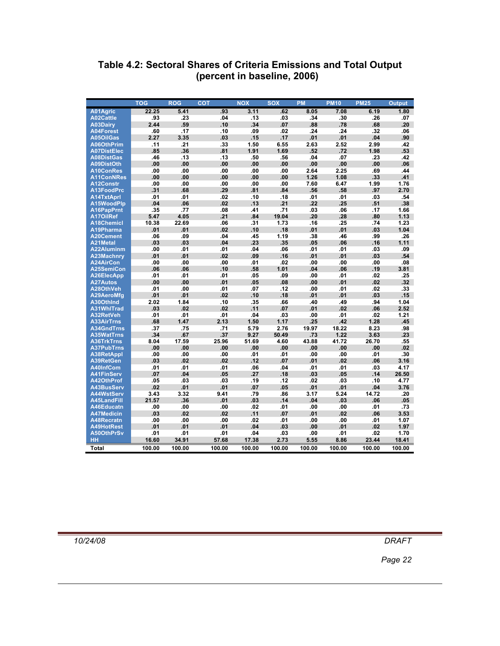|                                | <b>TOG</b>  | <b>ROG</b>  | <b>COT</b> | <b>NOX</b> | <b>SOX</b> | <b>PM</b>  | <b>PM10</b> | <b>PM25</b> | <b>Output</b> |
|--------------------------------|-------------|-------------|------------|------------|------------|------------|-------------|-------------|---------------|
| A01Agric                       | 22.25       | 5.41        | .93        | 3.11       | .62        | 8.05       | 7.08        | 6.19        | 1.80          |
| A02Cattle                      | .93         | .23         | .04        | .13        | .03        | .34        | .30         | .26         | .07           |
| <b>A03Dairy</b>                | 2.44        | .59         | .10        | .34        | .07        | .88        | .78         | .68         | .20           |
| A04Forest                      | .60         | .17         | .10        | .09        | .02        | .24        | .24         | .32         | .06           |
| A05OilGas                      | 2.27        | 3.35        | .03        | .15        | .17        | .01        | .01         | .04         | .90           |
| A06OthPrim                     | .11         | .21         | .33        | 1.50       | 6.55       | 2.63       | 2.52        | 2.99        | .42           |
| <b>A07DistElec</b>             | .85         | .36         | .81        | 1.91       | 1.69       | .52        | .72         | 1.98        | .53           |
| <b>A08DistGas</b>              | .46         | .13         | .13        | .50        | .56        | .04        | .07         | .23         | .42           |
| A09DistOth                     | .00         | .00         | .00        | .00        | .00        | .00        | .00         | .00         | .06           |
| A10ConRes                      | .00         | .00         | .00        | .00        | .00        | 2.64       | 2.25        | .69         | .44           |
| <b>A11ConNRes</b>              | .00         | .00         | .00        | .00        | .00        | 1.26       | 1.08        | .33         | .41           |
| A12Constr                      | .00         | .00         | .00        | .00        | .00        | 7.60       | 6.47        | 1.99        | 1.76          |
| A13FoodPrc                     | .31         | .68         | .29        | .81        | .84        | .56        | .58         | .97         | 2.70          |
| A14TxtAprl                     | .01         | .01         | .02        | .10        | .18        | .01        | .01         | .03         | .54           |
| A15WoodPlp                     | .04         | .06         | .02        | .13        | .21        | .22        | .25         | .51         | .38           |
| A16PapPrnt                     | .35         | .77         | .08        | .41        | .71        | .03        | .06         | .17         | 1.66          |
| A17OilRef                      | 5.47        | 4.05        | .21        | .84        | 19.04      | .20        | .28         | .80         | 1.13          |
| A18Chemicl                     | 10.38       | 22.69       | .06        | .31        | 1.73       | .16        | .25         | .74         | 1.23          |
| A19Pharma                      | .01         | .01         | .02        | .10        | .18        | .01        | .01         | .03         | 1.04          |
| A20Cement                      | .06         | .09         | .04        | .45        | 1.19       | .38        | .46         | .99         | .26           |
| <b>A21Metal</b>                | .03         | .03         | .04        | .23        | .35        | .05        | .06         | .16         | 1.11          |
| A22Aluminm                     | .00         | .01         | .01        | .04        | .06        | .01        | .01         | .03         | .09           |
| <b>A23Machnry</b>              | .01         | .01         | .02        | .09        | .16        | .01        | .01         | .03         | .54           |
| A24AirCon                      | .00         | .00         | .00        | .01        | .02        | .00        | .00         | .00         | .08           |
| A25SemiCon                     | .06         | .06         | .10        | .58        | 1.01       | .04        | .06         | .19         | 3.81          |
| A26ElecApp                     | .01         | .01         | .01        | .05        | .09        | .00        | .01         | .02         | .25           |
| <b>A27Autos</b>                | .00         | .00         | .01        | .05        | .08        | .00        | .01         | .02         | .32           |
| A28OthVeh                      | .01         | .00         | .01        | .07        | .12        | .00        | .01         | .02         | .33           |
| A29AeroMfg                     | .01         | .01         | .02<br>.10 | .10        | .18<br>.66 | .01        | .01         | .03<br>.94  | .15           |
| A30OthInd<br><b>A31WhITrad</b> | 2.02<br>.03 | 1.84<br>.02 | .02        | .35<br>.11 | .07        | .40<br>.01 | .49<br>.02  | .06         | 1.04<br>2.52  |
| A32RetVeh                      | .01         | .01         | .01        | .04        | .03        | .00        | .01         | .02         | 1.21          |
| <b>A33AirTrns</b>              | .68         | 1.47        | 2.13       | 1.50       | 1.17       | .25        | .42         | 1.28        | .45           |
| <b>A34GndTrns</b>              | .37         | .75         | .71        | 5.79       | 2.76       | 19.97      | 18.22       | 8.23        | .98           |
| <b>A35WatTrns</b>              | .34         | .67         | .37        | 9.27       | 50.49      | .73        | 1.22        | 3.63        | .23           |
| <b>A36TrkTrns</b>              | 8.04        | 17.59       | 25.96      | 51.69      | 4.60       | 43.88      | 41.72       | 26.70       | .55           |
| <b>A37PubTrns</b>              | .00         | .00         | .00        | .00        | .00        | .00        | .00         | .00         | .02           |
| A38RetAppl                     | .00         | .00         | .00        | .01        | .01        | .00        | .00         | .01         | .30           |
| A39RetGen                      | .03         | .02         | .02        | .12        | .07        | .01        | .02         | .06         | 3.16          |
| A40InfCom                      | .01         | .01         | .01        | .06        | .04        | .01        | .01         | .03         | 4.17          |
| <b>A41FinServ</b>              | .07         | .04         | .05        | .27        | .18        | .03        | .05         | .14         | 26.50         |
| A42OthProf                     | .05         | .03         | .03        | .19        | .12        | .02        | .03         | .10         | 4.77          |
| A43BusServ                     | .02         | .01         | .01        | .07        | .05        | .01        | .01         | .04         | 3.76          |
| A44WstServ                     | 3.43        | 3.32        | 9.41       | .79        | .86        | 3.17       | 5.24        | 14.72       | .20           |
| A45LandFill                    | 21.57       | .36         | .01        | .03        | .14        | .04        | .03         | .06         | .05           |
| A46Educatn                     | .00         | .00         | .00        | .02        | .01        | .00        | .00         | .01         | .73           |
| A47Medicin                     | .03         | .02         | .02        | .11        | .07        | .01        | .02         | .06         | 3.53          |
| A48Recratn                     | .00         | .00         | .00        | .02        | .01        | .00        | .00         | .01         | 1.07          |
| A49HotRest                     | .01         | .01         | .01        | .04        | .03        | .00        | .01         | .02         | 1.97          |
| A50OthPrSv                     | .01         | .01         | .01        | .04        | .03        | .00        | .01         | .02         | 1.70          |
| HH                             | 16.60       | 34.91       | 57.68      | 17.38      | 2.73       | 5.55       | 8.86        | 23.44       | 18.41         |
| Total                          | 100.00      | 100.00      | 100.00     | 100.00     | 100.00     | 100.00     | 100.00      | 100.00      | 100.00        |

### **Table 4.2: Sectoral Shares of Criteria Emissions and Total Output (percent in baseline, 2006)**

*10/24/08 DRAFT*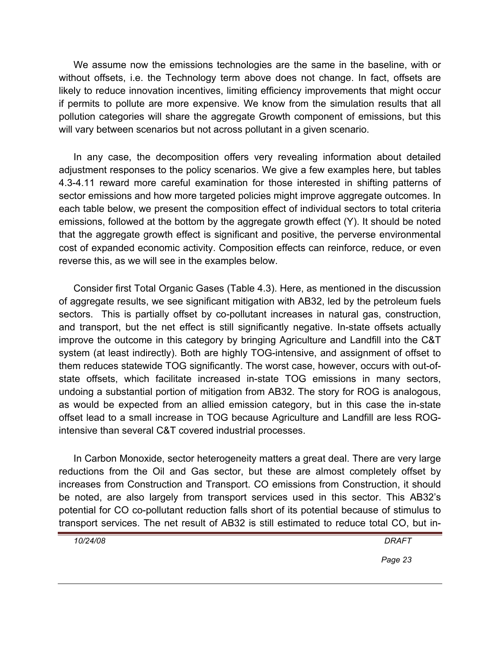We assume now the emissions technologies are the same in the baseline, with or without offsets, i.e. the Technology term above does not change. In fact, offsets are likely to reduce innovation incentives, limiting efficiency improvements that might occur if permits to pollute are more expensive. We know from the simulation results that all pollution categories will share the aggregate Growth component of emissions, but this will vary between scenarios but not across pollutant in a given scenario.

In any case, the decomposition offers very revealing information about detailed adjustment responses to the policy scenarios. We give a few examples here, but tables 4.3-4.11 reward more careful examination for those interested in shifting patterns of sector emissions and how more targeted policies might improve aggregate outcomes. In each table below, we present the composition effect of individual sectors to total criteria emissions, followed at the bottom by the aggregate growth effect (Y). It should be noted that the aggregate growth effect is significant and positive, the perverse environmental cost of expanded economic activity. Composition effects can reinforce, reduce, or even reverse this, as we will see in the examples below.

Consider first Total Organic Gases (Table 4.3). Here, as mentioned in the discussion of aggregate results, we see significant mitigation with AB32, led by the petroleum fuels sectors. This is partially offset by co-pollutant increases in natural gas, construction, and transport, but the net effect is still significantly negative. In-state offsets actually improve the outcome in this category by bringing Agriculture and Landfill into the C&T system (at least indirectly). Both are highly TOG-intensive, and assignment of offset to them reduces statewide TOG significantly. The worst case, however, occurs with out-ofstate offsets, which facilitate increased in-state TOG emissions in many sectors, undoing a substantial portion of mitigation from AB32. The story for ROG is analogous, as would be expected from an allied emission category, but in this case the in-state offset lead to a small increase in TOG because Agriculture and Landfill are less ROGintensive than several C&T covered industrial processes.

In Carbon Monoxide, sector heterogeneity matters a great deal. There are very large reductions from the Oil and Gas sector, but these are almost completely offset by increases from Construction and Transport. CO emissions from Construction, it should be noted, are also largely from transport services used in this sector. This AB32's potential for CO co-pollutant reduction falls short of its potential because of stimulus to transport services. The net result of AB32 is still estimated to reduce total CO, but in-

*10/24/08 DRAFT*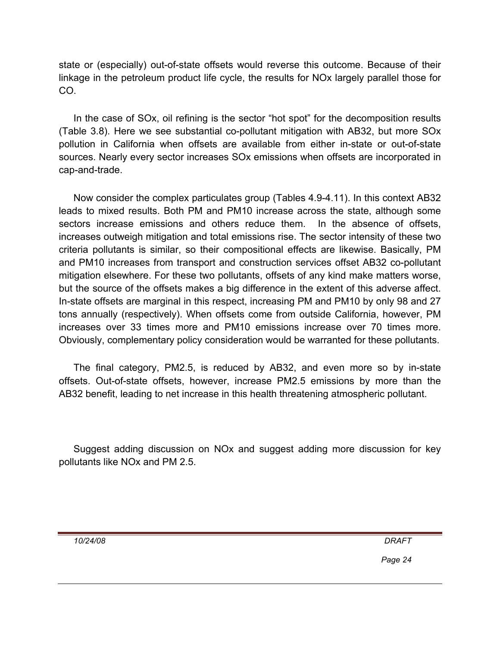state or (especially) out-of-state offsets would reverse this outcome. Because of their linkage in the petroleum product life cycle, the results for NOx largely parallel those for CO.

In the case of SOx, oil refining is the sector "hot spot" for the decomposition results (Table 3.8). Here we see substantial co-pollutant mitigation with AB32, but more SOx pollution in California when offsets are available from either in-state or out-of-state sources. Nearly every sector increases SOx emissions when offsets are incorporated in cap-and-trade.

Now consider the complex particulates group (Tables 4.9-4.11). In this context AB32 leads to mixed results. Both PM and PM10 increase across the state, although some sectors increase emissions and others reduce them. In the absence of offsets, increases outweigh mitigation and total emissions rise. The sector intensity of these two criteria pollutants is similar, so their compositional effects are likewise. Basically, PM and PM10 increases from transport and construction services offset AB32 co-pollutant mitigation elsewhere. For these two pollutants, offsets of any kind make matters worse, but the source of the offsets makes a big difference in the extent of this adverse affect. In-state offsets are marginal in this respect, increasing PM and PM10 by only 98 and 27 tons annually (respectively). When offsets come from outside California, however, PM increases over 33 times more and PM10 emissions increase over 70 times more. Obviously, complementary policy consideration would be warranted for these pollutants.

The final category, PM2.5, is reduced by AB32, and even more so by in-state offsets. Out-of-state offsets, however, increase PM2.5 emissions by more than the AB32 benefit, leading to net increase in this health threatening atmospheric pollutant.

Suggest adding discussion on NOx and suggest adding more discussion for key pollutants like NOx and PM 2.5.

*10/24/08 DRAFT*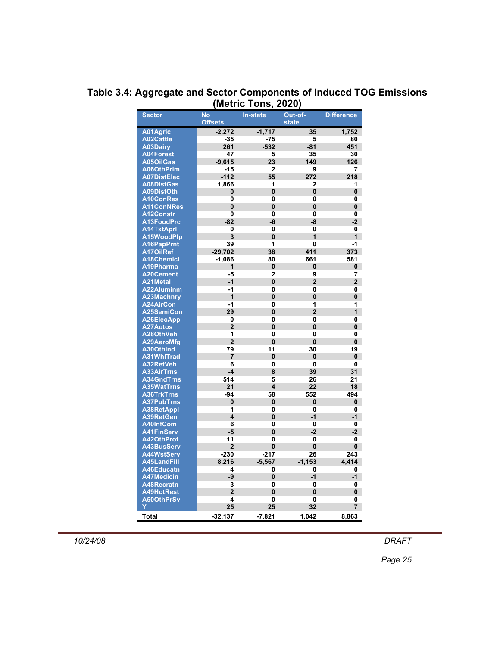|                    |                             | <u>, כווטו</u>  | ZUZU)            |                   |
|--------------------|-----------------------------|-----------------|------------------|-------------------|
| <b>Sector</b>      | <b>No</b><br><b>Offsets</b> | <b>In-state</b> | Out-of-<br>state | <b>Difference</b> |
|                    |                             |                 |                  |                   |
| A01Agric           | $-2,272$                    | $-1,717$        | 35               | 1,752             |
| <b>A02Cattle</b>   | -35                         | -75             | 5                | 80                |
| <b>A03Dairv</b>    | 261                         | $-532$          | $-81$            | 451               |
| <b>A04Forest</b>   | 47                          | 5               | 35               | 30                |
| A05OilGas          | $-9.615$                    | 23              | 149              | 126               |
| A06OthPrim         | $-15$                       | $\overline{2}$  | 9                | 7                 |
| <b>A07DistElec</b> | $-112$                      | 55              | 272              | 218               |
| <b>A08DistGas</b>  | 1,866                       | 1               | 2                | 1                 |
| <b>A09DistOth</b>  | 0                           | $\bf{0}$        | $\mathbf{0}$     | $\mathbf{0}$      |
| A10ConRes          | 0                           | 0               | 0                | 0                 |
| <b>A11ConNRes</b>  | $\mathbf{0}$                | $\bf{0}$        | O                | $\mathbf{0}$      |
| <b>A12Constr</b>   | 0                           | 0               | 0                | 0                 |
| A13FoodPrc         | $-82$                       | -6              | -8               | $-2$              |
| A14TxtAprl         | 0                           | 0               | 0                | 0                 |
| A15WoodPlp         | 3                           | $\bf{0}$        | $\overline{1}$   | 1                 |
| A16PapPrnt         | 39                          | 1               | 0                | $-1$              |
| A17OilRef          | $-29,702$                   | 38              | 411              | 373               |
| A18Chemicl         | $-1,086$                    | 80              | 661              | 581               |
| A19Pharma          | 1                           | 0               | 0                | 0                 |
| <b>A20Cement</b>   | -5                          | $\overline{2}$  | 9                | 7                 |
| <b>A21Metal</b>    | $-1$                        | 0               | $\overline{2}$   | $\overline{2}$    |
| A22Aluminm         | $-1$                        | 0               | 0                | 0                 |
| <b>A23Machnry</b>  | 1                           | $\bf{0}$        | 0                | $\bf{0}$          |
| A24AirCon          | $-1$                        | 0               | 1                | 1                 |
| <b>A25SemiCon</b>  | 29                          | $\bf{0}$        | $\overline{2}$   | 1                 |
| A26ElecApp         | 0                           | 0               | 0                | 0                 |
| <b>A27Autos</b>    | $\overline{2}$              | $\bf{0}$        | $\bf{0}$         | $\bf{0}$          |
| A28OthVeh          | 1                           | 0               | 0                | 0                 |
| A29AeroMfg         | $\overline{2}$              | $\bf{0}$        | $\bf{0}$         | $\bf{0}$          |
| A30OthInd          | 79                          | 11              | 30               | 19                |
| <b>A31WhITrad</b>  | $\overline{7}$              | 0               | 0                | 0                 |
| A32RetVeh          | 6                           | 0               | 0                | 0                 |
| <b>A33AirTrns</b>  | $-4$                        | 8               | 39               | 31                |
| <b>A34GndTrns</b>  | 514                         | 5               | 26               | 21                |
| <b>A35WatTrns</b>  | 21                          | 4               | 22               | 18                |
| <b>A36TrkTrns</b>  | $-94$                       | 58              | 552              | 494               |
| <b>A37PubTrns</b>  | 0                           | 0               | 0                | 0                 |
| <b>A38RetAppl</b>  | 1                           | 0               | 0                | 0                 |
| A39RetGen          | 4                           | $\bf{0}$        | $-1$             | $-1$              |
| A40InfCom          | 6                           | 0               | 0                | 0                 |
| <b>A41FinServ</b>  | $-5$                        | $\mathbf{0}$    | $-2$             | $-2$              |
| A42OthProf         | 11                          | 0               | 0                | 0                 |
| A43BusServ         | $\overline{2}$              | $\bf{0}$        | 0                | 0                 |
| A44WstServ         | $-230$                      | $-217$          | 26               | 243               |
| <b>A45LandFill</b> | 8,216                       | $-5,567$        | $-1,153$         | 4,414             |
| A46Educatn         | 4                           | 0               | 0                |                   |
|                    | -9                          | $\mathbf{0}$    | $-1$             | 0<br>$-1$         |
| <b>A47Medicin</b>  |                             | 0               |                  | 0                 |
| A48Recratn         | 3<br>$\overline{2}$         | $\bf{0}$        | 0                | $\mathbf{0}$      |
| <b>A49HotRest</b>  |                             |                 | 0                |                   |
| A50OthPrSv         | 4                           | 0               | 0                | 0                 |
| Ÿ                  | 25                          | 25              | 32               | 7                 |
| <b>Total</b>       | $-32,137$                   | $-7,821$        | 1,042            | 8,863             |

#### **Table 3.4: Aggregate and Sector Components of Induced TOG Emissions (Metric Tons, 2020)**

*10/24/08 DRAFT*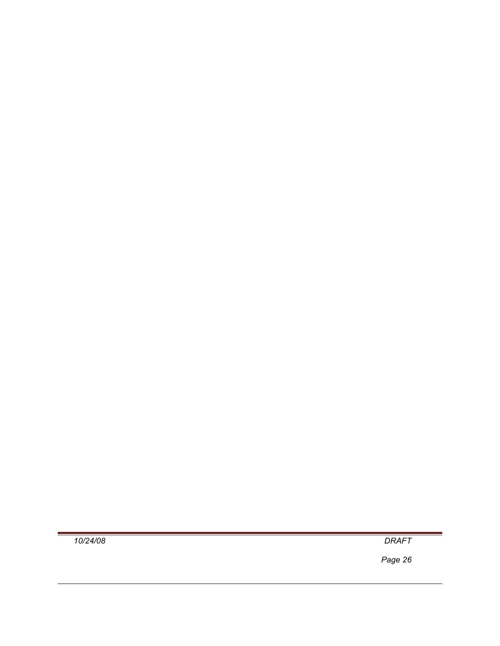*10/24/08 DRAFT*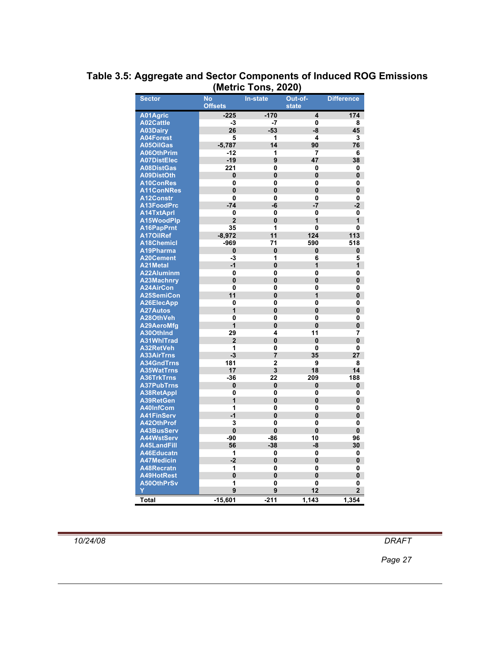| <b>Sector</b>                   | <b>No</b>      | In-state       | Out-of-           | <b>Difference</b> |
|---------------------------------|----------------|----------------|-------------------|-------------------|
|                                 | <b>Offsets</b> |                | state             |                   |
| A01Agric                        | $-225$         | $-170$         | 4                 | 174               |
| A02Cattle                       | -3             | -7             | 0                 | 8                 |
| <b>A03Dairy</b>                 | 26             | $-53$          | $-8$              | 45                |
| <b>A04Forest</b>                | 5              | 1              | 4                 | 3                 |
| <b>A05OilGas</b>                | $-5,787$       | 14             | 90                | 76                |
| <b>A06OthPrim</b>               | $-12$          | 1              | 7                 | 6                 |
| <b>A07DistElec</b>              | $-19$          | 9              | 47                | 38                |
| <b>A08DistGas</b>               | 221            | 0              | 0                 | 0                 |
| <b>A09DistOth</b>               | $\bf{0}$       | $\bf{0}$       | $\mathbf{0}$      | $\mathbf{0}$      |
| A10ConRes                       | 0              | 0<br>$\bf{0}$  | 0<br>$\mathbf{0}$ | 0                 |
| <b>A11ConNRes</b><br>A12Constr  | 0<br>O         |                |                   | 0<br>0            |
|                                 | $-74$          | 0<br>-6        | 0<br>$-7$         | $-2$              |
| A13FoodPrc                      | 0              | 0              | 0                 | 0                 |
| A14TxtAprl<br>A15WoodPlp        | $\overline{2}$ | $\bf{0}$       | $\overline{1}$    | 1                 |
| A16PapPrnt                      | 35             | 1              | 0                 | 0                 |
| A17OilRef                       | $-8,972$       | 11             | 124               | 113               |
| A18Chemicl                      | $-969$         | 71             | 590               | 518               |
| A19Pharma                       | 0              | 0              | $\bf{0}$          | 0                 |
| <b>A20Cement</b>                | -3             | 1              | 6                 | 5                 |
| <b>A21Metal</b>                 | $-1$           | $\bf{0}$       | $\overline{1}$    | 1                 |
| A22Aluminm                      | 0              | 0              | 0                 | 0                 |
| <b>A23Machnry</b>               | $\bf{0}$       | $\bf{0}$       | $\mathbf{0}$      | $\bf{0}$          |
| <b>A24AirCon</b>                | 0              | 0              | 0                 | 0                 |
| A25SemiCon                      | 11             | $\bf{0}$       | $\overline{1}$    | 0                 |
| <b>A26ElecApp</b>               | 0              | O              | 0                 | 0                 |
| <b>A27Autos</b>                 | $\overline{1}$ | $\mathbf{0}$   | $\mathbf{0}$      | $\bf{0}$          |
| A28OthVeh                       | 0              | 0              | 0                 | 0                 |
| A29AeroMfg                      | 1              | 0              | 0                 | 0                 |
| A30OthInd                       | 29             | 4              | 11                | 7                 |
| <b>A31WhITrad</b>               | $\overline{2}$ | $\mathbf{0}$   | $\mathbf{0}$      | $\mathbf{0}$      |
| A32RetVeh                       | 1              | 0              | 0                 | 0                 |
| <b>A33AirTrns</b>               | $-3$           | $\overline{7}$ | 35                | 27                |
| <b>A34GndTrns</b>               | 181            | 2<br>3         | 9                 | 8                 |
| <b>A35WatTrns</b>               | 17             |                | 18                | 14                |
| A36TrkTrns<br><b>A37PubTrns</b> | $-36$<br>0     | 22<br>0        | 209<br>0          | 188<br>0          |
| <b>A38RetAppl</b>               | 0              | 0              | 0                 | 0                 |
| A39RetGen                       | 1              | 0              | $\bf{0}$          | $\bf{0}$          |
| A40InfCom                       | 1              | 0              | 0                 | 0                 |
| <b>A41FinServ</b>               | $-1$           | $\mathbf{0}$   | $\mathbf{0}$      | $\bf{0}$          |
| A42OthProf                      | 3              | 0              | 0                 | 0                 |
| <b>A43BusServ</b>               | $\bf{0}$       | 0              | 0                 | 0                 |
| <b>A44WstServ</b>               | -90            | -86            | 10                | 96                |
| <b>A45LandFill</b>              | 56             | $-38$          | -8                | 30                |
| A46Educatn                      | 1              | 0              | 0                 | 0                 |
| <b>A47Medicin</b>               | $-2$           | 0              | $\bf{0}$          | $\bf{0}$          |
| A48Recratn                      | 1              | 0              | 0                 | 0                 |
| <b>A49HotRest</b>               | $\mathbf{0}$   | $\mathbf{0}$   | $\mathbf{0}$      | $\bf{0}$          |
| A50OthPrSv                      | 1              | 0              | 0                 | 0                 |
| Ÿ                               | 9              | 9              | 12                | $\overline{2}$    |
| Total                           | $-15,601$      | $-211$         | 1,143             | 1,354             |

#### **Table 3.5: Aggregate and Sector Components of Induced ROG Emissions (Metric Tons, 2020)**

*10/24/08 DRAFT*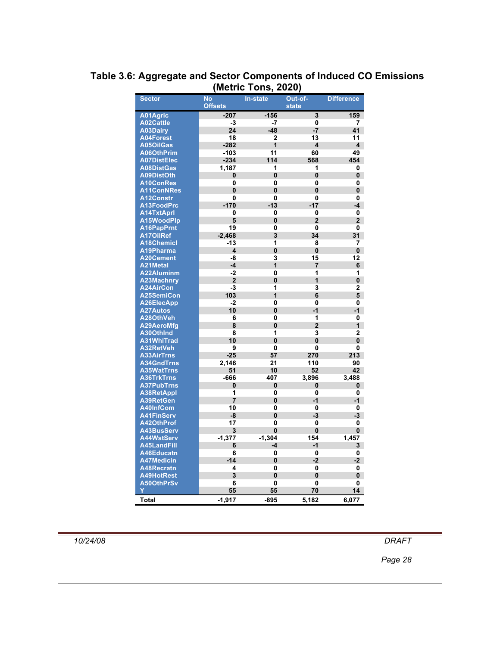| <b>Sector</b>                   | <b>No</b><br><b>Offsets</b> | In-state       | Out-of-<br><b>state</b> | <b>Difference</b> |
|---------------------------------|-----------------------------|----------------|-------------------------|-------------------|
| A01Agric                        | $-207$                      | $-156$         | 3                       | 159               |
| <b>A02Cattle</b>                | -3                          | -7             | 0                       | 7                 |
| <b>A03Dairy</b>                 | 24                          | $-48$          | $-7$                    | 41                |
| <b>A04Forest</b>                | 18                          | $\overline{2}$ | 13                      | 11                |
| <b>A05OilGas</b>                | $-282$                      | 1              | 4                       | 4                 |
| A06OthPrim                      | $-103$                      | 11             | 60                      | 49                |
| <b>A07DistElec</b>              | $-234$                      | 114            | 568                     | 454               |
| <b>A08DistGas</b>               | 1,187                       | 1              | 1                       | 0                 |
| <b>A09DistOth</b>               | 0                           | $\bf{0}$       | $\mathbf{0}$            | $\bf{0}$          |
| A10ConRes                       | 0                           | 0              | 0                       | 0                 |
| <b>A11ConNRes</b>               | $\bf{0}$                    | 0              | $\mathbf{0}$            | $\bf{0}$          |
| A12Constr                       | 0                           | 0              | 0                       | 0                 |
| A13FoodPrc                      | $-170$                      | $-13$          | $-17$                   | -4                |
| A14TxtAprl                      | 0                           | 0              | 0                       | 0                 |
| A15WoodPlp                      | 5                           | $\bf{0}$       | $\overline{2}$          | $\overline{2}$    |
| A16PapPrnt                      | 19                          | 0              | 0                       | 0                 |
| A17OilRef                       | $-2,468$                    | 3<br>1         | 34                      | 31                |
| A18Chemicl<br>A19Pharma         | $-13$<br>4                  | $\bf{0}$       | 8<br>$\bf{0}$           | 7<br>$\bf{0}$     |
| <b>A20Cement</b>                | -8                          | 3              | 15                      | 12                |
| <b>A21Metal</b>                 | $-4$                        | 1              | 7                       | 6                 |
| A22Aluminm                      | $-2$                        | 0              | 1                       | 1                 |
| <b>A23Machnry</b>               | $\overline{2}$              | $\mathbf{0}$   | $\overline{1}$          | $\bf{0}$          |
| A24AirCon                       | $-3$                        | 1              | 3                       | $\overline{2}$    |
| A25SemiCon                      | 103                         | $\overline{1}$ | 6                       | 5                 |
| A26ElecApp                      | $-2$                        | 0              | 0                       | 0                 |
| <b>A27Autos</b>                 | 10                          | $\mathbf{0}$   | $-1$                    | $-1$              |
| A28OthVeh                       | 6                           | 0              | 1                       | 0                 |
| A29AeroMfg                      | 8                           | O              | $\overline{2}$          | 1                 |
| A30OthInd                       | 8                           | 1              | 3                       | $\overline{2}$    |
| <b>A31WhITrad</b>               | 10                          | $\mathbf{0}$   | $\mathbf{0}$            | $\mathbf{0}$      |
| A32RetVeh                       | 9                           | 0              | 0                       | 0                 |
| <b>A33AirTrns</b>               | $-25$                       | 57             | 270                     | 213               |
| <b>A34GndTrns</b>               | 2,146                       | 21             | 110                     | 90                |
| <b>A35WatTrns</b>               | 51                          | 10             | 52                      | 42                |
| <b>A36TrkTrns</b>               | $-666$                      | 407            | 3,896                   | 3,488             |
| <b>A37PubTrns</b>               | 0                           | 0              | 0                       | 0                 |
| <b>A38RetAppl</b>               | 1                           | 0              | 0                       | 0                 |
| A39RetGen                       | $\overline{7}$              | $\mathbf{0}$   | $-1$                    | $-1$              |
| A40InfCom                       | 10                          | 0              | 0                       | 0                 |
| <b>A41FinServ</b>               | -8                          | $\bf{0}$       | $-3$                    | -3                |
| A42OthProf                      | 17                          | 0              | 0                       | 0                 |
| A43BusServ                      | 3                           | 0              | $\mathbf{0}$            | 0                 |
| A44WstServ                      | $-1,377$                    | $-1,304$       | 154                     | 1,457             |
| <b>A45LandFill</b>              | 6                           | $-4$           | $-1$                    | 3                 |
| A46Educatn                      | 6<br>$-14$                  | 0<br>0         | 0<br>$-2$               | 0<br>$-2$         |
| <b>A47Medicin</b><br>A48Recratn | 4                           | 0              | 0                       | 0                 |
| A49HotRest                      | 3                           | $\bf{0}$       | $\mathbf{0}$            | $\bf{0}$          |
| A50OthPrSv                      | 6                           | 0              | 0                       | 0                 |
| Ÿ                               | 55                          | 55             | 70                      | 14                |
|                                 |                             |                |                         |                   |
| Total                           | $-1,917$                    | -895           | 5,182                   | 6,077             |

#### **Table 3.6: Aggregate and Sector Components of Induced CO Emissions (Metric Tons, 2020)**

*10/24/08 DRAFT*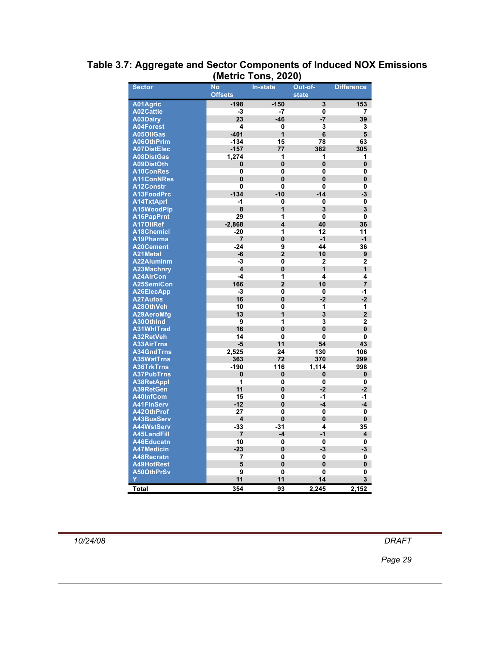|                                  | v                           |                         |                  |                   |  |
|----------------------------------|-----------------------------|-------------------------|------------------|-------------------|--|
| <b>Sector</b>                    | <b>No</b><br><b>Offsets</b> | <b>In-state</b>         | Out-of-<br>state | <b>Difference</b> |  |
| A01Agric                         | $-198$                      | $-150$                  | 3                | 153               |  |
| <b>A02Cattle</b>                 | $-3$                        | -7                      | 0                | 7                 |  |
| <b>A03Dairy</b>                  | 23                          | $-46$                   | $-7$             | 39                |  |
| <b>A04Forest</b>                 | 4                           | 0                       | 3                | 3                 |  |
| A05OilGas                        | $-401$                      | 1                       | 6                | 5                 |  |
| A06OthPrim                       | $-134$                      | 15                      | 78               | 63                |  |
| <b>A07DistElec</b>               | $-157$                      | 77                      | 382              | 305               |  |
| <b>A08DistGas</b>                | 1,274                       | 1                       | 1                | 1                 |  |
| <b>A09DistOth</b>                | 0                           | 0                       | $\bf{0}$         | $\bf{0}$          |  |
| A10ConRes                        | 0                           | 0                       | 0                | 0                 |  |
| <b>A11ConNRes</b>                | 0                           | $\mathbf{0}$            | $\mathbf{0}$     | $\mathbf{0}$      |  |
| <b>A12Constr</b>                 | 0                           | 0                       | O                | O                 |  |
| A13FoodPrc                       | $-134$                      | $-10$                   | $-14$            | $-3$              |  |
| A14TxtAprl                       | $-1$                        | 0                       | 0                | 0                 |  |
| A15WoodPlp                       | 8                           | 1                       | 3                | 3                 |  |
| A16PapPrnt                       | 29                          | 1                       | 0                | 0                 |  |
| <b>A17OilRef</b>                 | $-2,868$                    | $\overline{\mathbf{4}}$ | 40               | 36                |  |
| A18Chemicl                       | -20                         | 1                       | 12               | 11                |  |
| A19Pharma                        | $\overline{7}$              | 0                       | $-1$             | $-1$              |  |
| <b>A20Cement</b>                 | $-24$                       | 9                       | 44               | 36                |  |
| <b>A21Metal</b>                  | -6                          | $\overline{2}$          | 10               | 9                 |  |
| A22Aluminm                       | $-3$                        | 0                       | $\overline{2}$   | $\overline{2}$    |  |
| <b>A23Machnry</b>                | $\overline{\mathbf{4}}$     | $\bf{0}$                | $\overline{1}$   | 1                 |  |
| <b>A24AirCon</b>                 | $-4$                        | 1                       | 4                | 4                 |  |
| <b>A25SemiCon</b>                | 166                         | $\overline{2}$          | 10               | $\overline{7}$    |  |
| A26ElecApp                       | $-3$                        | 0                       | 0                | -1                |  |
| <b>A27Autos</b>                  | 16                          | 0                       | $-2$             | $-2$              |  |
| A28OthVeh                        | 10                          | 0                       | 1                | 1                 |  |
| A29AeroMfg                       | 13                          | 1                       | 3                | $\overline{2}$    |  |
| A30OthInd                        | 9                           | 1                       | 3                | $\overline{2}$    |  |
| <b>A31WhITrad</b>                | 16                          | $\mathbf{0}$            | $\bf{0}$         | $\mathbf{0}$      |  |
| <b>A32RetVeh</b>                 | 14                          | 0                       | 0                | 0                 |  |
| <b>A33AirTrns</b>                | -5                          | 11                      | 54               | 43                |  |
| <b>A34GndTrns</b>                | 2,525                       | 24                      | 130              | 106               |  |
| <b>A35WatTrns</b>                | 363                         | 72                      | 370              | 299               |  |
| <b>A36TrkTrns</b>                | $-190$                      | 116                     | 1,114            | 998               |  |
| <b>A37PubTrns</b>                | 0                           | 0                       | 0                | 0                 |  |
| <b>A38RetAppl</b>                | 1                           | 0                       | 0                | 0                 |  |
| <b>A39RetGen</b>                 | 11                          | $\mathbf{0}$            | $-2$             | $-2$              |  |
| A40InfCom                        | 15                          | 0                       | $-1$             | $-1$              |  |
| <b>A41FinServ</b>                | $-12$                       | $\mathbf{0}$            | $-4$             | $-4$              |  |
| A42OthProf                       | 27                          | 0<br>$\bf{0}$           | 0<br>$\bf{0}$    | 0                 |  |
| A43BusServ                       | 4<br>$-33$                  | $-31$                   | 4                | $\bf{0}$<br>35    |  |
| <b>A44WstServ</b>                |                             | $-4$                    | $-1$             |                   |  |
| <b>A45LandFill</b><br>A46Educatn | 7<br>10                     | 0                       | 0                | 4<br>0            |  |
|                                  |                             |                         |                  |                   |  |
| <b>A47Medicin</b><br>A48Recratn  | $-23$<br>7                  | 0<br>0                  | -3<br>0          | -3<br>0           |  |
| <b>A49HotRest</b>                | 5                           | $\mathbf{0}$            | $\mathbf{0}$     | $\bf{0}$          |  |
| A50OthPrSv                       | 9                           | 0                       | 0                | 0                 |  |
| Ÿ                                | 11                          | 11                      | 14               | 3                 |  |
|                                  |                             |                         |                  |                   |  |
| Total                            | 354                         | 93                      | 2,245            | 2,152             |  |

#### **Table 3.7: Aggregate and Sector Components of Induced NOX Emissions (Metric Tons, 2020)**

*10/24/08 DRAFT*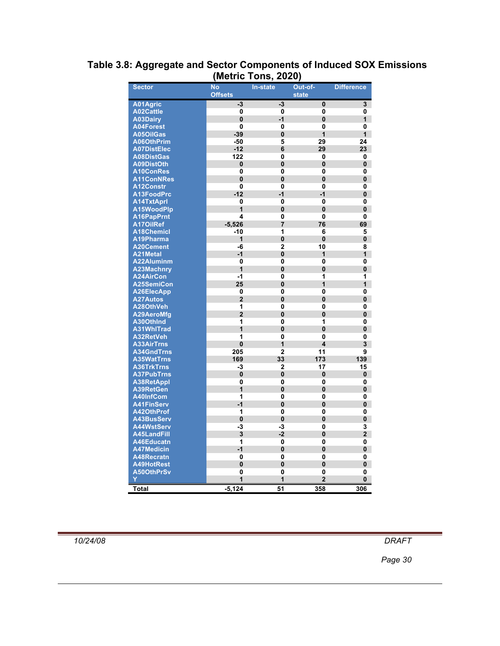| <b>No</b><br><b>Difference</b><br>Sector<br>In-state<br>Out-of-<br><b>Offsets</b><br>state<br>A01Agric<br>$-3$<br>-3<br>3<br>$\bf{0}$<br>0<br><b>A02Cattle</b><br>0<br>0<br>0<br>1<br><b>A03Dairy</b><br>$\mathbf{0}$<br>$-1$<br>O<br>0<br><b>A04Forest</b><br>0<br>0<br>0<br>$\overline{1}$<br>$-39$<br>$\bf{0}$<br>$\overline{1}$<br>A05OilGas<br>$-50$<br>29<br>24<br>A06OthPrim<br>5<br><b>A07DistElec</b><br>$-12$<br>6<br>29<br>23<br>122<br><b>A08DistGas</b><br>0<br>0<br>0<br>$\bf{0}$<br>0<br>$\bf{0}$<br><b>A09DistOth</b><br>0<br>A10ConRes<br>0<br>0<br>0<br>0<br>$\bf{0}$<br>$\mathbf{0}$<br><b>A11ConNRes</b><br>$\bf{0}$<br>0<br>0<br>0<br><b>A12Constr</b><br>0<br>0<br>A13FoodPrc<br>$-12$<br>$-1$<br>$-1$<br>$\mathbf{0}$<br>0<br>$\mathbf 0$<br>A14TxtAprl<br>0<br>0<br>$\overline{1}$<br>$\bf{0}$<br>O<br>$\mathbf{0}$<br>A15WoodPlp<br>4<br>0<br>0<br>0<br>A16PapPrnt<br>69<br>$\overline{7}$<br>76<br>A17OilRef<br>$-5,526$<br>1<br>5<br>A18Chemicl<br>$-10$<br>6<br>1<br>$\bf{0}$<br>0<br>$\bf{0}$<br>A19Pharma<br>$\overline{2}$<br><b>A20Cement</b><br>-6<br>10<br>8<br>$\mathbf{0}$<br>$\overline{1}$<br><b>A21Metal</b><br>$-1$<br>1<br>A22Aluminm<br>0<br>0<br>0<br>0<br>$\overline{1}$<br>A23Machnry<br>$\mathbf{0}$<br>O<br>$\bf{0}$<br>$-1$<br>A24AirCon<br>0<br>1<br>1<br>$\overline{1}$<br>$\overline{1}$<br>A25SemiCon<br>25<br>$\mathbf{0}$<br>0<br>0<br>A26ElecApp<br>0<br>0<br>$\overline{2}$<br>$\bf{0}$<br><b>A27Autos</b><br>$\bf{0}$<br>0<br>1<br>A28OthVeh<br>0<br>0<br>0 |
|----------------------------------------------------------------------------------------------------------------------------------------------------------------------------------------------------------------------------------------------------------------------------------------------------------------------------------------------------------------------------------------------------------------------------------------------------------------------------------------------------------------------------------------------------------------------------------------------------------------------------------------------------------------------------------------------------------------------------------------------------------------------------------------------------------------------------------------------------------------------------------------------------------------------------------------------------------------------------------------------------------------------------------------------------------------------------------------------------------------------------------------------------------------------------------------------------------------------------------------------------------------------------------------------------------------------------------------------------------------------------------------------------------------------------------------------------------------------------------------------------------------------|
|                                                                                                                                                                                                                                                                                                                                                                                                                                                                                                                                                                                                                                                                                                                                                                                                                                                                                                                                                                                                                                                                                                                                                                                                                                                                                                                                                                                                                                                                                                                      |
|                                                                                                                                                                                                                                                                                                                                                                                                                                                                                                                                                                                                                                                                                                                                                                                                                                                                                                                                                                                                                                                                                                                                                                                                                                                                                                                                                                                                                                                                                                                      |
|                                                                                                                                                                                                                                                                                                                                                                                                                                                                                                                                                                                                                                                                                                                                                                                                                                                                                                                                                                                                                                                                                                                                                                                                                                                                                                                                                                                                                                                                                                                      |
|                                                                                                                                                                                                                                                                                                                                                                                                                                                                                                                                                                                                                                                                                                                                                                                                                                                                                                                                                                                                                                                                                                                                                                                                                                                                                                                                                                                                                                                                                                                      |
|                                                                                                                                                                                                                                                                                                                                                                                                                                                                                                                                                                                                                                                                                                                                                                                                                                                                                                                                                                                                                                                                                                                                                                                                                                                                                                                                                                                                                                                                                                                      |
|                                                                                                                                                                                                                                                                                                                                                                                                                                                                                                                                                                                                                                                                                                                                                                                                                                                                                                                                                                                                                                                                                                                                                                                                                                                                                                                                                                                                                                                                                                                      |
|                                                                                                                                                                                                                                                                                                                                                                                                                                                                                                                                                                                                                                                                                                                                                                                                                                                                                                                                                                                                                                                                                                                                                                                                                                                                                                                                                                                                                                                                                                                      |
|                                                                                                                                                                                                                                                                                                                                                                                                                                                                                                                                                                                                                                                                                                                                                                                                                                                                                                                                                                                                                                                                                                                                                                                                                                                                                                                                                                                                                                                                                                                      |
|                                                                                                                                                                                                                                                                                                                                                                                                                                                                                                                                                                                                                                                                                                                                                                                                                                                                                                                                                                                                                                                                                                                                                                                                                                                                                                                                                                                                                                                                                                                      |
|                                                                                                                                                                                                                                                                                                                                                                                                                                                                                                                                                                                                                                                                                                                                                                                                                                                                                                                                                                                                                                                                                                                                                                                                                                                                                                                                                                                                                                                                                                                      |
|                                                                                                                                                                                                                                                                                                                                                                                                                                                                                                                                                                                                                                                                                                                                                                                                                                                                                                                                                                                                                                                                                                                                                                                                                                                                                                                                                                                                                                                                                                                      |
|                                                                                                                                                                                                                                                                                                                                                                                                                                                                                                                                                                                                                                                                                                                                                                                                                                                                                                                                                                                                                                                                                                                                                                                                                                                                                                                                                                                                                                                                                                                      |
|                                                                                                                                                                                                                                                                                                                                                                                                                                                                                                                                                                                                                                                                                                                                                                                                                                                                                                                                                                                                                                                                                                                                                                                                                                                                                                                                                                                                                                                                                                                      |
|                                                                                                                                                                                                                                                                                                                                                                                                                                                                                                                                                                                                                                                                                                                                                                                                                                                                                                                                                                                                                                                                                                                                                                                                                                                                                                                                                                                                                                                                                                                      |
|                                                                                                                                                                                                                                                                                                                                                                                                                                                                                                                                                                                                                                                                                                                                                                                                                                                                                                                                                                                                                                                                                                                                                                                                                                                                                                                                                                                                                                                                                                                      |
|                                                                                                                                                                                                                                                                                                                                                                                                                                                                                                                                                                                                                                                                                                                                                                                                                                                                                                                                                                                                                                                                                                                                                                                                                                                                                                                                                                                                                                                                                                                      |
|                                                                                                                                                                                                                                                                                                                                                                                                                                                                                                                                                                                                                                                                                                                                                                                                                                                                                                                                                                                                                                                                                                                                                                                                                                                                                                                                                                                                                                                                                                                      |
|                                                                                                                                                                                                                                                                                                                                                                                                                                                                                                                                                                                                                                                                                                                                                                                                                                                                                                                                                                                                                                                                                                                                                                                                                                                                                                                                                                                                                                                                                                                      |
|                                                                                                                                                                                                                                                                                                                                                                                                                                                                                                                                                                                                                                                                                                                                                                                                                                                                                                                                                                                                                                                                                                                                                                                                                                                                                                                                                                                                                                                                                                                      |
|                                                                                                                                                                                                                                                                                                                                                                                                                                                                                                                                                                                                                                                                                                                                                                                                                                                                                                                                                                                                                                                                                                                                                                                                                                                                                                                                                                                                                                                                                                                      |
|                                                                                                                                                                                                                                                                                                                                                                                                                                                                                                                                                                                                                                                                                                                                                                                                                                                                                                                                                                                                                                                                                                                                                                                                                                                                                                                                                                                                                                                                                                                      |
|                                                                                                                                                                                                                                                                                                                                                                                                                                                                                                                                                                                                                                                                                                                                                                                                                                                                                                                                                                                                                                                                                                                                                                                                                                                                                                                                                                                                                                                                                                                      |
|                                                                                                                                                                                                                                                                                                                                                                                                                                                                                                                                                                                                                                                                                                                                                                                                                                                                                                                                                                                                                                                                                                                                                                                                                                                                                                                                                                                                                                                                                                                      |
|                                                                                                                                                                                                                                                                                                                                                                                                                                                                                                                                                                                                                                                                                                                                                                                                                                                                                                                                                                                                                                                                                                                                                                                                                                                                                                                                                                                                                                                                                                                      |
|                                                                                                                                                                                                                                                                                                                                                                                                                                                                                                                                                                                                                                                                                                                                                                                                                                                                                                                                                                                                                                                                                                                                                                                                                                                                                                                                                                                                                                                                                                                      |
|                                                                                                                                                                                                                                                                                                                                                                                                                                                                                                                                                                                                                                                                                                                                                                                                                                                                                                                                                                                                                                                                                                                                                                                                                                                                                                                                                                                                                                                                                                                      |
|                                                                                                                                                                                                                                                                                                                                                                                                                                                                                                                                                                                                                                                                                                                                                                                                                                                                                                                                                                                                                                                                                                                                                                                                                                                                                                                                                                                                                                                                                                                      |
|                                                                                                                                                                                                                                                                                                                                                                                                                                                                                                                                                                                                                                                                                                                                                                                                                                                                                                                                                                                                                                                                                                                                                                                                                                                                                                                                                                                                                                                                                                                      |
|                                                                                                                                                                                                                                                                                                                                                                                                                                                                                                                                                                                                                                                                                                                                                                                                                                                                                                                                                                                                                                                                                                                                                                                                                                                                                                                                                                                                                                                                                                                      |
| $\overline{2}$<br>0<br>$\bf{0}$<br>A29AeroMfg<br>$\bf{0}$                                                                                                                                                                                                                                                                                                                                                                                                                                                                                                                                                                                                                                                                                                                                                                                                                                                                                                                                                                                                                                                                                                                                                                                                                                                                                                                                                                                                                                                            |
| 1<br>1<br>0<br>0<br>A30OthInd                                                                                                                                                                                                                                                                                                                                                                                                                                                                                                                                                                                                                                                                                                                                                                                                                                                                                                                                                                                                                                                                                                                                                                                                                                                                                                                                                                                                                                                                                        |
| 1<br>$\mathbf{0}$<br>0<br>$\bf{0}$<br><b>A31WhITrad</b>                                                                                                                                                                                                                                                                                                                                                                                                                                                                                                                                                                                                                                                                                                                                                                                                                                                                                                                                                                                                                                                                                                                                                                                                                                                                                                                                                                                                                                                              |
| A32RetVeh<br>1<br>0<br>0<br>0<br>$\overline{1}$<br>3<br>$\overline{\mathbf{A}}$                                                                                                                                                                                                                                                                                                                                                                                                                                                                                                                                                                                                                                                                                                                                                                                                                                                                                                                                                                                                                                                                                                                                                                                                                                                                                                                                                                                                                                      |
| $\mathbf{0}$<br><b>A33AirTrns</b><br>$\overline{2}$                                                                                                                                                                                                                                                                                                                                                                                                                                                                                                                                                                                                                                                                                                                                                                                                                                                                                                                                                                                                                                                                                                                                                                                                                                                                                                                                                                                                                                                                  |
| <b>A34GndTrns</b><br>205<br>11<br>9<br>33<br>169<br>173<br>139                                                                                                                                                                                                                                                                                                                                                                                                                                                                                                                                                                                                                                                                                                                                                                                                                                                                                                                                                                                                                                                                                                                                                                                                                                                                                                                                                                                                                                                       |
| <b>A35WatTrns</b><br>15<br>A36TrkTrns<br>-3<br>$\overline{2}$<br>17                                                                                                                                                                                                                                                                                                                                                                                                                                                                                                                                                                                                                                                                                                                                                                                                                                                                                                                                                                                                                                                                                                                                                                                                                                                                                                                                                                                                                                                  |
| $\mathbf{0}$<br><b>A37PubTrns</b><br>$\bf{0}$<br>0<br>$\bf{0}$                                                                                                                                                                                                                                                                                                                                                                                                                                                                                                                                                                                                                                                                                                                                                                                                                                                                                                                                                                                                                                                                                                                                                                                                                                                                                                                                                                                                                                                       |
| 0<br>A38RetAppl<br>0<br>0<br>0                                                                                                                                                                                                                                                                                                                                                                                                                                                                                                                                                                                                                                                                                                                                                                                                                                                                                                                                                                                                                                                                                                                                                                                                                                                                                                                                                                                                                                                                                       |
| A39RetGen<br>1<br>$\bf{0}$<br>0<br>$\bf{0}$                                                                                                                                                                                                                                                                                                                                                                                                                                                                                                                                                                                                                                                                                                                                                                                                                                                                                                                                                                                                                                                                                                                                                                                                                                                                                                                                                                                                                                                                          |
| 1<br>0<br>0<br>A40InfCom<br>0                                                                                                                                                                                                                                                                                                                                                                                                                                                                                                                                                                                                                                                                                                                                                                                                                                                                                                                                                                                                                                                                                                                                                                                                                                                                                                                                                                                                                                                                                        |
| $\mathbf{0}$<br>$\bf{0}$<br>$\bf{0}$<br><b>A41FinServ</b><br>$-1$                                                                                                                                                                                                                                                                                                                                                                                                                                                                                                                                                                                                                                                                                                                                                                                                                                                                                                                                                                                                                                                                                                                                                                                                                                                                                                                                                                                                                                                    |
| A42OthProf<br>1<br>0<br>0<br>0                                                                                                                                                                                                                                                                                                                                                                                                                                                                                                                                                                                                                                                                                                                                                                                                                                                                                                                                                                                                                                                                                                                                                                                                                                                                                                                                                                                                                                                                                       |
| O<br>$\bf{0}$<br><b>A43BusServ</b><br>0<br>0                                                                                                                                                                                                                                                                                                                                                                                                                                                                                                                                                                                                                                                                                                                                                                                                                                                                                                                                                                                                                                                                                                                                                                                                                                                                                                                                                                                                                                                                         |
| A44WstServ<br>$-3$<br>-3<br>3<br>0                                                                                                                                                                                                                                                                                                                                                                                                                                                                                                                                                                                                                                                                                                                                                                                                                                                                                                                                                                                                                                                                                                                                                                                                                                                                                                                                                                                                                                                                                   |
| $\overline{2}$<br>3<br>$-2$<br>O<br><b>A45LandFill</b>                                                                                                                                                                                                                                                                                                                                                                                                                                                                                                                                                                                                                                                                                                                                                                                                                                                                                                                                                                                                                                                                                                                                                                                                                                                                                                                                                                                                                                                               |
| 0<br>0<br>A46Educatn<br>1<br>0                                                                                                                                                                                                                                                                                                                                                                                                                                                                                                                                                                                                                                                                                                                                                                                                                                                                                                                                                                                                                                                                                                                                                                                                                                                                                                                                                                                                                                                                                       |
| <b>A47Medicin</b><br>$-1$<br>$\mathbf{0}$<br>0<br>$\bf{0}$                                                                                                                                                                                                                                                                                                                                                                                                                                                                                                                                                                                                                                                                                                                                                                                                                                                                                                                                                                                                                                                                                                                                                                                                                                                                                                                                                                                                                                                           |
| A48Recratn<br>0<br>0<br>0<br>0                                                                                                                                                                                                                                                                                                                                                                                                                                                                                                                                                                                                                                                                                                                                                                                                                                                                                                                                                                                                                                                                                                                                                                                                                                                                                                                                                                                                                                                                                       |
| <b>A49HotRest</b><br>0<br>$\bf{0}$<br>0<br>$\bf{0}$                                                                                                                                                                                                                                                                                                                                                                                                                                                                                                                                                                                                                                                                                                                                                                                                                                                                                                                                                                                                                                                                                                                                                                                                                                                                                                                                                                                                                                                                  |
| 0<br>0<br>A50OthPrSv<br>0<br>0                                                                                                                                                                                                                                                                                                                                                                                                                                                                                                                                                                                                                                                                                                                                                                                                                                                                                                                                                                                                                                                                                                                                                                                                                                                                                                                                                                                                                                                                                       |
| 1<br>1<br>$\bf{0}$<br>Y<br>2                                                                                                                                                                                                                                                                                                                                                                                                                                                                                                                                                                                                                                                                                                                                                                                                                                                                                                                                                                                                                                                                                                                                                                                                                                                                                                                                                                                                                                                                                         |
| 51<br>358<br>306<br>Total<br>$-5,124$                                                                                                                                                                                                                                                                                                                                                                                                                                                                                                                                                                                                                                                                                                                                                                                                                                                                                                                                                                                                                                                                                                                                                                                                                                                                                                                                                                                                                                                                                |

#### **Table 3.8: Aggregate and Sector Components of Induced SOX Emissions (Metric Tons, 2020)**

*10/24/08 DRAFT*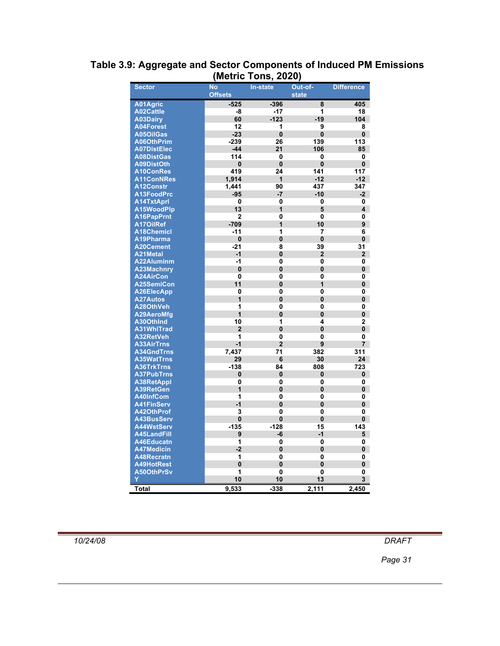|                    | V                           |                 |                         |                         |
|--------------------|-----------------------------|-----------------|-------------------------|-------------------------|
| <b>Sector</b>      | <b>No</b><br><b>Offsets</b> | <b>In-state</b> | Out-of-<br><b>state</b> | <b>Difference</b>       |
| A01Agric           | $-525$                      | $-396$          | 8                       | 405                     |
| <b>A02Cattle</b>   | -8                          | $-17$           | 1                       | 18                      |
| <b>A03Dairy</b>    | 60                          | $-123$          | $-19$                   | 104                     |
| <b>A04Forest</b>   | 12                          | 1               | 9                       | 8                       |
| A05OilGas          | $-23$                       | $\mathbf{0}$    | $\mathbf{0}$            | $\bf{0}$                |
| A06OthPrim         | $-239$                      | 26              | 139                     | 113                     |
| <b>A07DistElec</b> | $-44$                       | 21              | 106                     | 85                      |
| <b>A08DistGas</b>  | 114                         | 0               | 0                       | 0                       |
| <b>A09DistOth</b>  | $\bf{0}$                    | $\bf{0}$        | $\mathbf{0}$            | $\bf{0}$                |
| <b>A10ConRes</b>   | 419                         | 24              | 141                     | 117                     |
| <b>A11ConNRes</b>  | 1,914                       | 1               | $-12$                   | $-12$                   |
| <b>A12Constr</b>   | 1,441                       | 90              | 437                     | 347                     |
| A13FoodPrc         | -95                         | -7              | $-10$                   | -2                      |
| A14TxtAprl         | 0                           | 0               | 0                       | 0                       |
| A15WoodPlp         | 13                          | 1               | 5                       | $\overline{\mathbf{4}}$ |
| A16PapPrnt         | $\overline{2}$              | 0               | 0                       | 0                       |
| A17OilRef          | $-709$                      | 1               | 10                      | 9                       |
| A18Chemicl         | $-11$                       | 1               | 7                       | 6                       |
| A19Pharma          | $\bf{0}$                    | $\mathbf{0}$    | $\mathbf{0}$            | $\bf{0}$                |
| A20Cement          | $-21$                       | 8               | 39                      | 31                      |
| <b>A21Metal</b>    | $-1$                        | $\mathbf{0}$    | $\overline{2}$          | $\overline{2}$          |
| A22Aluminm         | $-1$                        | 0               | 0                       | 0                       |
| <b>A23Machnry</b>  | $\mathbf{0}$                | $\mathbf{0}$    | 0                       | $\bf{0}$                |
| <b>A24AirCon</b>   | 0                           | 0               | 0                       | 0                       |
| A25SemiCon         | 11                          | $\mathbf{0}$    | $\overline{1}$          | $\mathbf{0}$            |
| A26ElecApp         | O                           | 0               | 0                       | 0                       |
| <b>A27Autos</b>    | $\overline{1}$              | 0               | O                       | $\bf{0}$                |
| A28OthVeh          | 1                           | 0               | 0                       | 0                       |
| A29AeroMfg         | $\overline{1}$              | $\bf{0}$        | $\mathbf{0}$            | $\bf{0}$                |
| A30OthInd          | 10                          | 1               | 4                       | $\overline{2}$          |
| <b>A31WhITrad</b>  | $\overline{2}$              | $\mathbf{0}$    | 0                       | $\mathbf{0}$            |
| A32RetVeh          | 1                           | 0               | 0                       | 0                       |
| <b>A33AirTrns</b>  | $-1$                        | $\overline{2}$  | 9                       | $\overline{7}$          |
| <b>A34GndTrns</b>  | 7,437                       | 71              | 382                     | 311                     |
| <b>A35WatTrns</b>  | 29                          | 6               | 30                      | 24                      |
| <b>A36TrkTrns</b>  | $-138$                      | 84              | 808                     | 723                     |
| <b>A37PubTrns</b>  | 0                           | 0               | 0                       | 0                       |
| A38RetAppl         | 0                           | 0               | 0                       | 0                       |
| A39RetGen          | $\overline{1}$              | $\mathbf{0}$    | $\mathbf{0}$            | $\bf{0}$                |
| A40InfCom          | 1                           | 0               | 0                       | 0                       |
| <b>A41FinServ</b>  | $-1$                        | $\mathbf{0}$    | O                       | $\bf{0}$                |
| A42OthProf         | 3                           | 0               | 0                       | 0                       |
| <b>A43BusServ</b>  | 0                           | 0               | $\bf{0}$                | $\bf{0}$                |
| <b>A44WstServ</b>  | $-135$                      | $-128$          | 15                      | 143                     |
| <b>A45LandFill</b> | 9                           | -6              | $-1$                    | 5                       |
| A46Educatn         | 1                           | 0               | 0                       | 0                       |
| <b>A47Medicin</b>  | $-2$                        | $\mathbf{0}$    | $\mathbf{0}$            | $\bf{0}$                |
| <b>A48Recratn</b>  | 1                           | 0               | 0                       | 0                       |
| <b>A49HotRest</b>  | $\bf{0}$                    | $\mathbf{0}$    | 0                       | $\mathbf 0$             |
| <b>A50OthPrSv</b>  | 1                           | 0               | 0                       | 0                       |
| Ÿ                  | 10                          | 10              | 13                      | 3                       |
| <b>Total</b>       | 9,533                       | $-338$          | 2,111                   | 2,450                   |

#### **Table 3.9: Aggregate and Sector Components of Induced PM Emissions (Metric Tons, 2020)**

*10/24/08 DRAFT*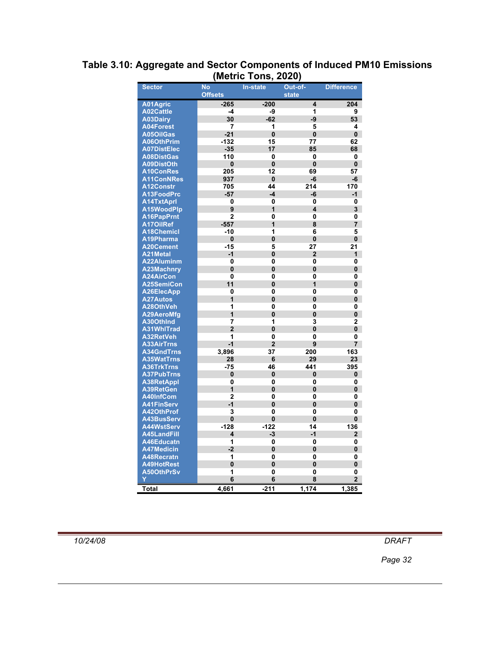| <b>Sector</b>      | <b>No</b>      | In-state       | Out-of-                 | <b>Difference</b> |  |
|--------------------|----------------|----------------|-------------------------|-------------------|--|
|                    | <b>Offsets</b> |                | state                   |                   |  |
| A01Agric           | $-265$         | $-200$         | 4                       | 204               |  |
| <b>A02Cattle</b>   | -4             | -9             | 1                       | 9                 |  |
| <b>A03Dairy</b>    | 30             | $-62$          | -9                      | 53                |  |
| <b>A04Forest</b>   | 7              | 1              | 5                       | 4                 |  |
| A05OilGas          | $-21$          | $\mathbf{0}$   | $\mathbf{0}$            | $\bf{0}$          |  |
| <b>A06OthPrim</b>  | $-132$         | 15             | 77                      | 62                |  |
| <b>A07DistElec</b> | $-35$          | 17             | 85                      | 68                |  |
| <b>A08DistGas</b>  | 110            | 0              | 0                       | 0                 |  |
| <b>A09DistOth</b>  | $\bf{0}$       | $\bf{0}$       | $\mathbf{0}$            | $\bf{0}$          |  |
| A10ConRes          | 205            | 12             | 69                      | 57                |  |
| A11ConNRes         | 937            | $\bf{0}$       | -6                      | -6                |  |
| A12Constr          | 705            | 44             | 214                     | 170               |  |
| A13FoodPrc         | $-57$          | $-4$           | -6                      | $-1$              |  |
| A14TxtAprl         | 0              | 0              | 0                       | 0                 |  |
| A15WoodPlp         | 9              | 1              | $\overline{\mathbf{4}}$ | 3                 |  |
| A16PapPrnt         | $\overline{2}$ | 0              | 0                       | 0                 |  |
| A17OilRef          | $-557$         | 1              | 8                       | 7                 |  |
| <b>A18Chemicl</b>  | $-10$          | 1              | 6                       | 5                 |  |
| A19Pharma          | $\bf{0}$       | $\mathbf{0}$   | $\bf{0}$                | $\bf{0}$          |  |
| <b>A20Cement</b>   | $-15$          | 5              | 27                      | 21                |  |
| <b>A21Metal</b>    | $-1$           | $\bf{0}$       | $\overline{2}$          | 1                 |  |
| A22Aluminm         | 0              | 0              | 0                       | 0                 |  |
| A23Machnry         | $\bf{0}$       | $\bf{0}$       | $\mathbf{0}$            | $\bf{0}$          |  |
| A24AirCon          | 0              | 0              | 0                       | 0                 |  |
| A25SemiCon         | 11             | $\bf{0}$       | 1                       | $\mathbf{0}$      |  |
| A26ElecApp         | 0              | 0              | 0                       | 0                 |  |
| <b>A27Autos</b>    | 1              | $\bf{0}$       | $\bf{0}$                | $\bf{0}$          |  |
| A28OthVeh          | 1              | 0              | 0                       | 0                 |  |
| A29AeroMfg         | $\overline{1}$ | $\bf{0}$       | $\bf{0}$                | $\mathbf{0}$      |  |
| A30OthInd          | 7              | 1              | 3                       | $\overline{2}$    |  |
| <b>A31WhITrad</b>  | $\overline{2}$ | $\bf{0}$       | $\bf{0}$                | $\mathbf{0}$      |  |
| A32RetVeh          | 1              | 0              | 0                       | 0                 |  |
| <b>A33AirTrns</b>  | $-1$           | $\overline{2}$ | 9                       | $\overline{7}$    |  |
| <b>A34GndTrns</b>  | 3,896          | 37             | 200                     | 163               |  |
| <b>A35WatTrns</b>  | 28             | 6              | 29                      | 23                |  |
| <b>A36TrkTrns</b>  | -75            | 46             | 441                     | 395               |  |
| <b>A37PubTrns</b>  | $\bf{0}$       | $\bf{0}$       | $\bf{0}$                | $\bf{0}$          |  |
| A38RetAppl         | 0              | 0              | 0                       | 0                 |  |
| A39RetGen          | $\mathbf{1}$   | $\mathbf{0}$   | $\bf{0}$                | $\mathbf{0}$      |  |
| A40InfCom          | $\overline{2}$ | 0              | 0                       | 0                 |  |
| <b>A41FinServ</b>  | $-1$           | $\bf{0}$       | $\bf{0}$                | $\bf{0}$          |  |
| A42OthProf         | 3              | 0              | 0                       | 0                 |  |
| <b>A43BusServ</b>  | $\bf{0}$       | 0              | $\mathbf{0}$            | $\mathbf{0}$      |  |
| A44WstServ         | $-128$         | $-122$         | 14                      | 136               |  |
| <b>A45LandFill</b> | 4              | $-3$           | $-1$                    | $\overline{2}$    |  |
| A46Educatn         | 1              | 0              | 0                       | 0                 |  |
| A47Medicin         | $-2$           | $\bf{0}$       | $\bf{0}$                | $\bf{0}$          |  |
| A48Recratn         | 1              | 0              | 0                       | 0                 |  |
| <b>A49HotRest</b>  | $\mathbf{0}$   | $\bf{0}$       | $\mathbf{0}$            | $\mathbf{0}$      |  |
| A50OthPrSv         | 1              | 0              | 0                       | 0                 |  |
| Ÿ                  | 6              | 6              | 8                       | $\overline{2}$    |  |
|                    |                |                |                         |                   |  |
| <b>Total</b>       | 4,661          | $-211$         | 1,174                   | 1,385             |  |

#### **Table 3.10: Aggregate and Sector Components of Induced PM10 Emissions (Metric Tons, 2020)**

*10/24/08 DRAFT*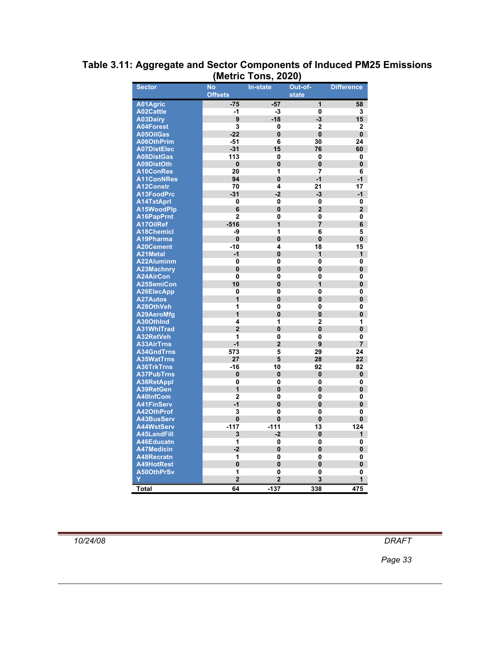|                              |                             |                 | ,,               |                   |
|------------------------------|-----------------------------|-----------------|------------------|-------------------|
| <b>Sector</b>                | <b>No</b><br><b>Offsets</b> | <b>In-state</b> | Out-of-<br>state | <b>Difference</b> |
|                              |                             |                 |                  |                   |
| A01Agric                     | $-75$<br>$-1$               | $-57$<br>$-3$   | 1<br>0           | 58                |
| A02Cattle<br><b>A03Dairy</b> | 9                           | $-18$           | -3               | 3<br>15           |
| <b>A04Forest</b>             | 3                           | 0               | $\overline{2}$   | $\overline{2}$    |
| A05OilGas                    | $-22$                       | $\bf{0}$        | $\mathbf{0}$     | $\mathbf{0}$      |
| A06OthPrim                   | $-51$                       | 6               | 30               | 24                |
| <b>A07DistElec</b>           | $-31$                       | 15              | 76               | 60                |
| <b>A08DistGas</b>            | 113                         | 0               | 0                | 0                 |
| <b>A09DistOth</b>            | $\bf{0}$                    | 0               | $\bf{0}$         | $\bf{0}$          |
| A10ConRes                    | 20                          | 1               | 7                | 6                 |
| <b>A11ConNRes</b>            | 94                          | $\bf{0}$        | $-1$             | $-1$              |
| A12Constr                    | 70                          | 4               | 21               | 17                |
| A13FoodPrc                   | $-31$                       | $-2$            | $-3$             | $-1$              |
| A14TxtAprl                   | 0                           | 0               | 0                | 0                 |
| A15WoodPlp                   | 6                           | $\bf{0}$        | $\overline{2}$   | $\overline{2}$    |
| A16PapPrnt                   | $\overline{2}$              | 0               | 0                | 0                 |
| A17OilRef                    | $-516$                      | 1               | $\overline{7}$   | 6                 |
| A18Chemicl                   | -9                          | 1               | 6                | 5                 |
| A19Pharma                    | $\mathbf{0}$                | $\bf{0}$        | $\mathbf{0}$     | $\mathbf{0}$      |
| <b>A20Cement</b>             | $-10$                       | 4               | 18               | 15                |
| <b>A21Metal</b>              | $-1$                        | $\bf{0}$        | 1                | $\overline{1}$    |
| A22Aluminm                   | 0                           | 0               | 0                | 0                 |
| <b>A23Machnry</b>            | $\bf{0}$                    | $\bf{0}$        | $\bf{0}$         | $\mathbf{0}$      |
| A24AirCon                    | 0                           | 0               | 0                | 0                 |
| A25SemiCon                   | 10                          | $\bf{0}$        | 1                | 0                 |
| A26ElecApp                   | 0                           | 0               | 0                | 0                 |
| <b>A27Autos</b>              | 1                           | 0               | $\bf{0}$         | $\bf{0}$          |
| A28OthVeh                    | 1                           | 0               | 0                | 0                 |
| A29AeroMfg                   | $\overline{1}$              | $\bf{0}$        | $\bf{0}$         | $\bf{0}$          |
| A30OthInd                    | 4                           | 1               | $\overline{2}$   | 1                 |
| <b>A31WhITrad</b>            | $\overline{2}$              | $\mathbf{0}$    | $\bf{0}$         | $\mathbf{0}$      |
| A32RetVeh                    | 1                           | 0               | 0                | 0                 |
| <b>A33AirTrns</b>            | $-1$                        | $\overline{2}$  | 9                | 7                 |
| <b>A34GndTrns</b>            | 573                         | 5               | 29               | 24                |
| <b>A35WatTrns</b>            | 27                          | 5               | 28               | 22                |
| A36TrkTrns                   | $-16$                       | 10              | 92               | 82                |
| <b>A37PubTrns</b>            | $\bf{0}$                    | 0               | $\bf{0}$         | $\bf{0}$          |
| A38RetAppl                   | 0                           | 0               | 0                | 0                 |
| A39RetGen                    | $\mathbf{1}$                | $\bf{0}$        | $\bf{0}$         | $\mathbf{0}$      |
| A40InfCom                    | $\overline{2}$              | $\bf{0}$        | 0                | 0                 |
| <b>A41FinServ</b>            | $-1$                        | $\mathbf{0}$    | $\bf{0}$         | $\mathbf{0}$      |
| A42OthProf                   | 3                           | 0               | 0                | 0                 |
| A43BusServ                   | $\bf{0}$                    | 0               | $\bf{0}$         | $\mathbf{0}$      |
| <b>A44WstServ</b>            | $-117$                      | $-111$          | 13               | 124               |
| <b>A45LandFill</b>           | 3                           | -2              | 0                | 1                 |
| A46Educatn                   | 1                           | 0               | $\mathbf{0}$     | 0                 |
| <b>A47Medicin</b>            | $-2$                        | $\bf{0}$        | $\mathbf{0}$     | $\mathbf{0}$      |
| A48Recratn                   | 1                           | 0               | 0                | 0                 |
| <b>A49HotRest</b>            | $\mathbf{0}$                | 0               | $\bf{0}$         | $\mathbf{0}$      |
| <b>A50OthPrSv</b>            | 1                           | 0               | 0                | 0                 |
| Y                            | $\overline{2}$              | $\overline{2}$  | 3                | 1                 |
| <b>Total</b>                 | 64                          | $-137$          | 338              | 475               |

#### **Table 3.11: Aggregate and Sector Components of Induced PM25 Emissions (Metric Tons, 2020)**

*10/24/08 DRAFT*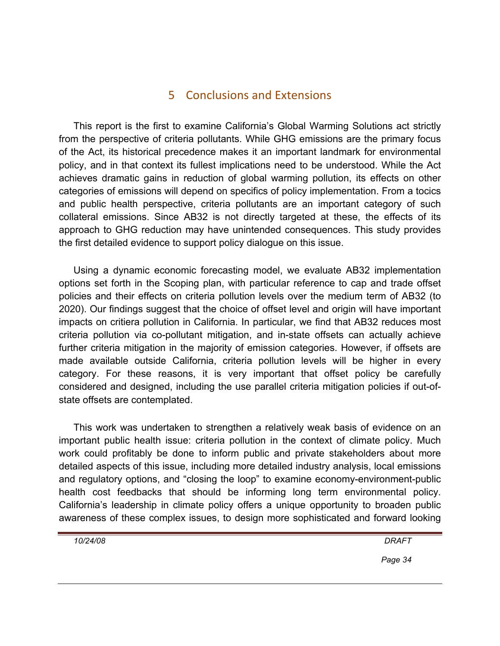## 5 Conclusions and Extensions

This report is the first to examine California's Global Warming Solutions act strictly from the perspective of criteria pollutants. While GHG emissions are the primary focus of the Act, its historical precedence makes it an important landmark for environmental policy, and in that context its fullest implications need to be understood. While the Act achieves dramatic gains in reduction of global warming pollution, its effects on other categories of emissions will depend on specifics of policy implementation. From a tocics and public health perspective, criteria pollutants are an important category of such collateral emissions. Since AB32 is not directly targeted at these, the effects of its approach to GHG reduction may have unintended consequences. This study provides the first detailed evidence to support policy dialogue on this issue.

Using a dynamic economic forecasting model, we evaluate AB32 implementation options set forth in the Scoping plan, with particular reference to cap and trade offset policies and their effects on criteria pollution levels over the medium term of AB32 (to 2020). Our findings suggest that the choice of offset level and origin will have important impacts on critiera pollution in California. In particular, we find that AB32 reduces most criteria pollution via co-pollutant mitigation, and in-state offsets can actually achieve further criteria mitigation in the majority of emission categories. However, if offsets are made available outside California, criteria pollution levels will be higher in every category. For these reasons, it is very important that offset policy be carefully considered and designed, including the use parallel criteria mitigation policies if out-ofstate offsets are contemplated.

This work was undertaken to strengthen a relatively weak basis of evidence on an important public health issue: criteria pollution in the context of climate policy. Much work could profitably be done to inform public and private stakeholders about more detailed aspects of this issue, including more detailed industry analysis, local emissions and regulatory options, and "closing the loop" to examine economy-environment-public health cost feedbacks that should be informing long term environmental policy. California's leadership in climate policy offers a unique opportunity to broaden public awareness of these complex issues, to design more sophisticated and forward looking

*10/24/08 DRAFT*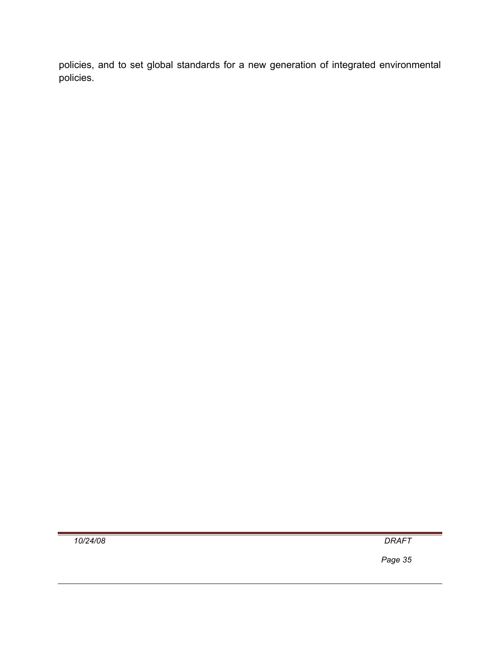policies, and to set global standards for a new generation of integrated environmental policies.

*10/24/08 DRAFT*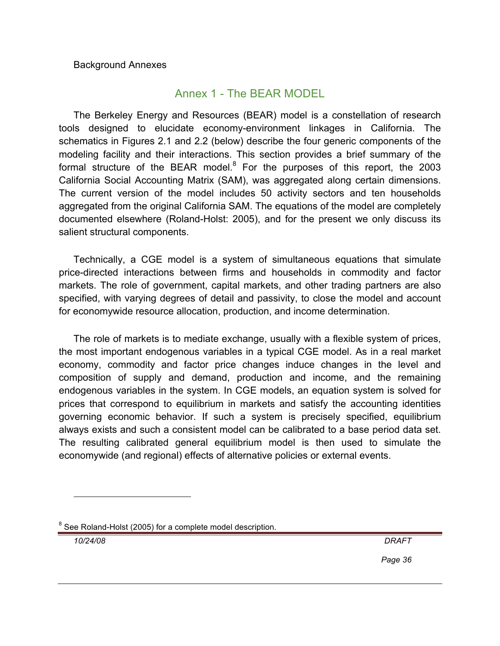#### Background Annexes

## Annex 1 - The BEAR MODEL

The Berkeley Energy and Resources (BEAR) model is a constellation of research tools designed to elucidate economy-environment linkages in California. The schematics in Figures 2.1 and 2.2 (below) describe the four generic components of the modeling facility and their interactions. This section provides a brief summary of the formal structure of the BEAR model. $8$  For the purposes of this report, the 2003 California Social Accounting Matrix (SAM), was aggregated along certain dimensions. The current version of the model includes 50 activity sectors and ten households aggregated from the original California SAM. The equations of the model are completely documented elsewhere (Roland-Holst: 2005), and for the present we only discuss its salient structural components.

Technically, a CGE model is a system of simultaneous equations that simulate price-directed interactions between firms and households in commodity and factor markets. The role of government, capital markets, and other trading partners are also specified, with varying degrees of detail and passivity, to close the model and account for economywide resource allocation, production, and income determination.

The role of markets is to mediate exchange, usually with a flexible system of prices, the most important endogenous variables in a typical CGE model. As in a real market economy, commodity and factor price changes induce changes in the level and composition of supply and demand, production and income, and the remaining endogenous variables in the system. In CGE models, an equation system is solved for prices that correspond to equilibrium in markets and satisfy the accounting identities governing economic behavior. If such a system is precisely specified, equilibrium always exists and such a consistent model can be calibrated to a base period data set. The resulting calibrated general equilibrium model is then used to simulate the economywide (and regional) effects of alternative policies or external events.

*10/24/08 DRAFT*

l

 $8$  See Roland-Holst (2005) for a complete model description.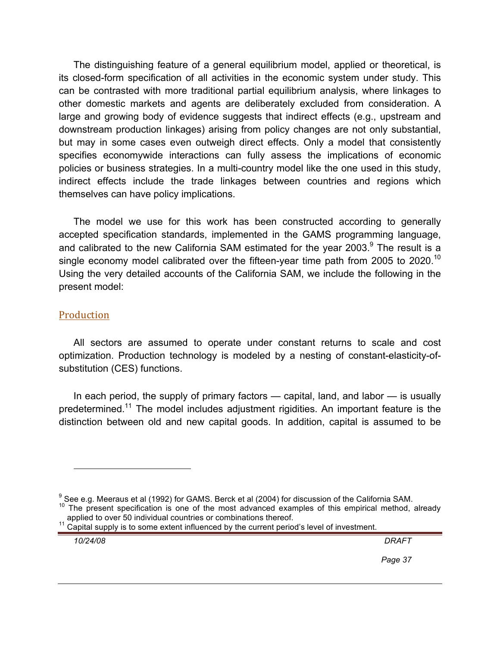The distinguishing feature of a general equilibrium model, applied or theoretical, is its closed-form specification of all activities in the economic system under study. This can be contrasted with more traditional partial equilibrium analysis, where linkages to other domestic markets and agents are deliberately excluded from consideration. A large and growing body of evidence suggests that indirect effects (e.g., upstream and downstream production linkages) arising from policy changes are not only substantial, but may in some cases even outweigh direct effects. Only a model that consistently specifies economywide interactions can fully assess the implications of economic policies or business strategies. In a multi-country model like the one used in this study, indirect effects include the trade linkages between countries and regions which themselves can have policy implications.

The model we use for this work has been constructed according to generally accepted specification standards, implemented in the GAMS programming language, and calibrated to the new California SAM estimated for the year 2003.<sup>9</sup> The result is a single economy model calibrated over the fifteen-year time path from 2005 to 2020.<sup>10</sup> Using the very detailed accounts of the California SAM, we include the following in the present model:

#### Production

All sectors are assumed to operate under constant returns to scale and cost optimization. Production technology is modeled by a nesting of constant-elasticity-ofsubstitution (CES) functions.

In each period, the supply of primary factors — capital, land, and labor — is usually predetermined.<sup>11</sup> The model includes adjustment rigidities. An important feature is the distinction between old and new capital goods. In addition, capital is assumed to be

*10/24/08 DRAFT*

 $\overline{a}$ 

<sup>&</sup>lt;sup>9</sup> See e.g. Meeraus et al (1992) for GAMS. Berck et al (2004) for discussion of the California SAM.<br><sup>10</sup> The present specification is one of the most advanced examples of this empirical method, already applied to over 50

applied to over 50 individual countries or compiled the current period's level of investment.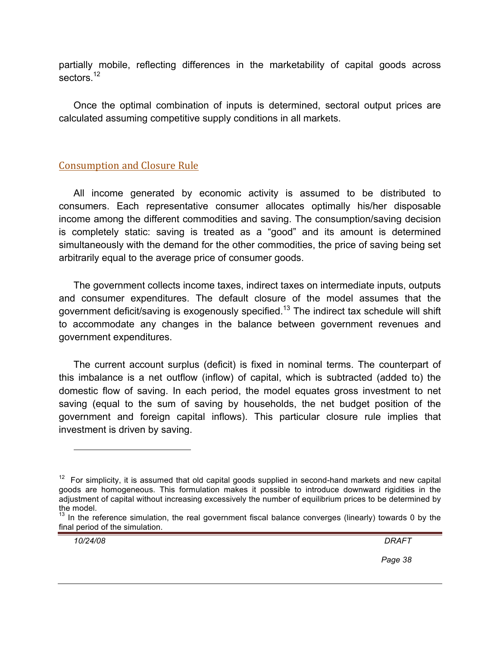partially mobile, reflecting differences in the marketability of capital goods across sectors.<sup>12</sup>

Once the optimal combination of inputs is determined, sectoral output prices are calculated assuming competitive supply conditions in all markets.

#### **Consumption and Closure Rule**

All income generated by economic activity is assumed to be distributed to consumers. Each representative consumer allocates optimally his/her disposable income among the different commodities and saving. The consumption/saving decision is completely static: saving is treated as a "good" and its amount is determined simultaneously with the demand for the other commodities, the price of saving being set arbitrarily equal to the average price of consumer goods.

The government collects income taxes, indirect taxes on intermediate inputs, outputs and consumer expenditures. The default closure of the model assumes that the government deficit/saving is exogenously specified.<sup>13</sup> The indirect tax schedule will shift to accommodate any changes in the balance between government revenues and government expenditures.

The current account surplus (deficit) is fixed in nominal terms. The counterpart of this imbalance is a net outflow (inflow) of capital, which is subtracted (added to) the domestic flow of saving. In each period, the model equates gross investment to net saving (equal to the sum of saving by households, the net budget position of the government and foreign capital inflows). This particular closure rule implies that investment is driven by saving.

l

 $12$  For simplicity, it is assumed that old capital goods supplied in second-hand markets and new capital goods are homogeneous. This formulation makes it possible to introduce downward rigidities in the adjustment of capital without increasing excessively the number of equilibrium prices to be determined by the model.

 $13$  In the reference simulation, the real government fiscal balance converges (linearly) towards 0 by the final period of the simulation.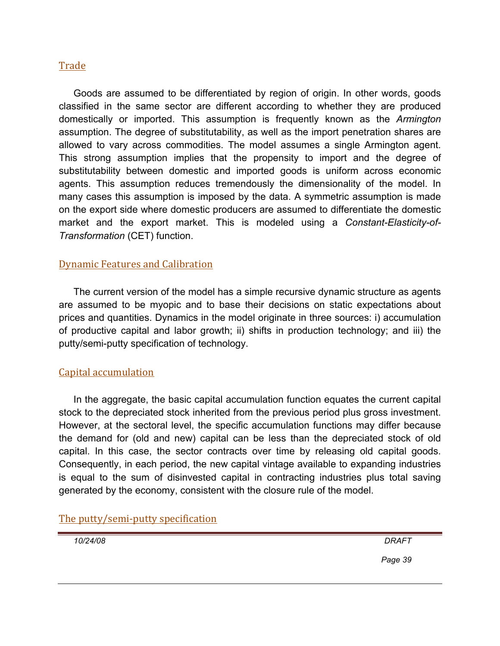#### Trade

Goods are assumed to be differentiated by region of origin. In other words, goods classified in the same sector are different according to whether they are produced domestically or imported. This assumption is frequently known as the *Armington* assumption. The degree of substitutability, as well as the import penetration shares are allowed to vary across commodities. The model assumes a single Armington agent. This strong assumption implies that the propensity to import and the degree of substitutability between domestic and imported goods is uniform across economic agents. This assumption reduces tremendously the dimensionality of the model. In many cases this assumption is imposed by the data. A symmetric assumption is made on the export side where domestic producers are assumed to differentiate the domestic market and the export market. This is modeled using a *Constant-Elasticity-of-Transformation* (CET) function.

#### **Dynamic Features and Calibration**

The current version of the model has a simple recursive dynamic structure as agents are assumed to be myopic and to base their decisions on static expectations about prices and quantities. Dynamics in the model originate in three sources: i) accumulation of productive capital and labor growth; ii) shifts in production technology; and iii) the putty/semi-putty specification of technology.

#### Capital accumulation

In the aggregate, the basic capital accumulation function equates the current capital stock to the depreciated stock inherited from the previous period plus gross investment. However, at the sectoral level, the specific accumulation functions may differ because the demand for (old and new) capital can be less than the depreciated stock of old capital. In this case, the sector contracts over time by releasing old capital goods. Consequently, in each period, the new capital vintage available to expanding industries is equal to the sum of disinvested capital in contracting industries plus total saving generated by the economy, consistent with the closure rule of the model.

The putty/semi-putty specification

*10/24/08 DRAFT*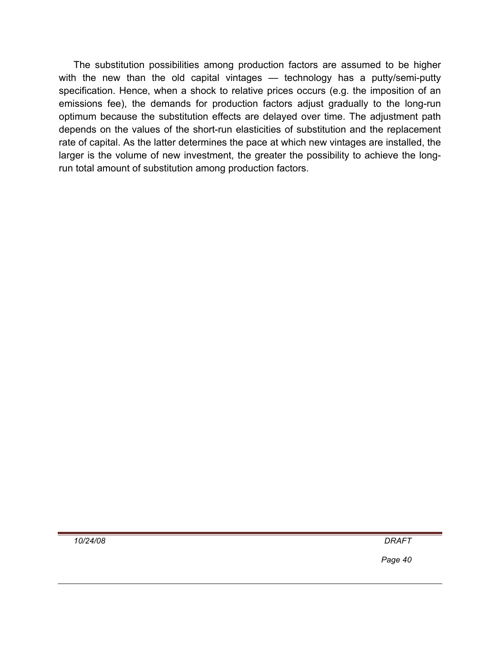The substitution possibilities among production factors are assumed to be higher with the new than the old capital vintages — technology has a putty/semi-putty specification. Hence, when a shock to relative prices occurs (e.g. the imposition of an emissions fee), the demands for production factors adjust gradually to the long-run optimum because the substitution effects are delayed over time. The adjustment path depends on the values of the short-run elasticities of substitution and the replacement rate of capital. As the latter determines the pace at which new vintages are installed, the larger is the volume of new investment, the greater the possibility to achieve the longrun total amount of substitution among production factors.

*10/24/08 DRAFT*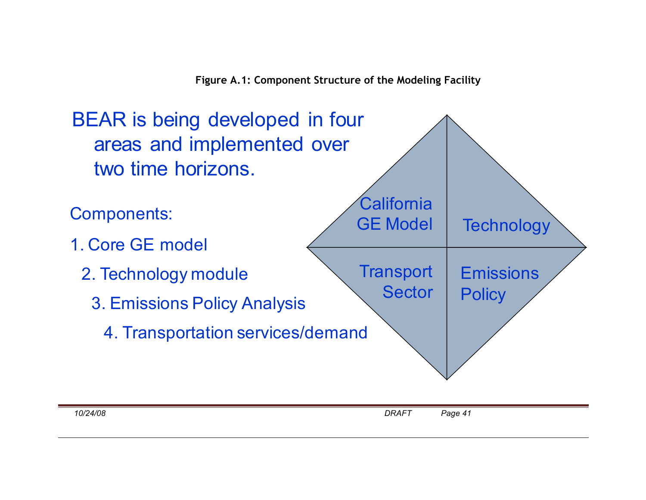**Figure A.1: Component Structure of the Modeling Facility**

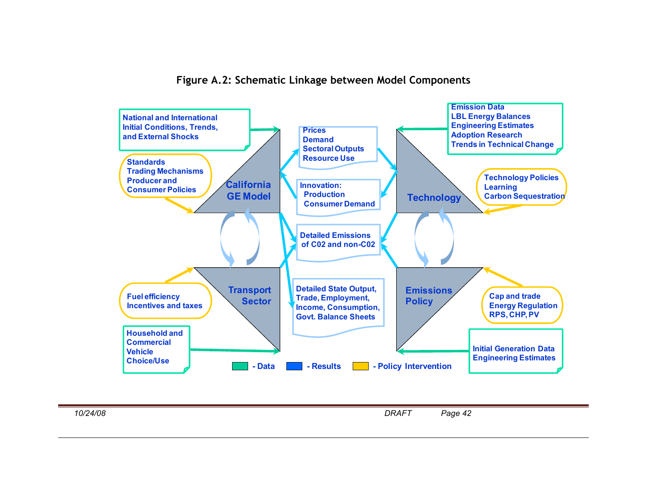**Figure A.2: Schematic Linkage between Model Components**



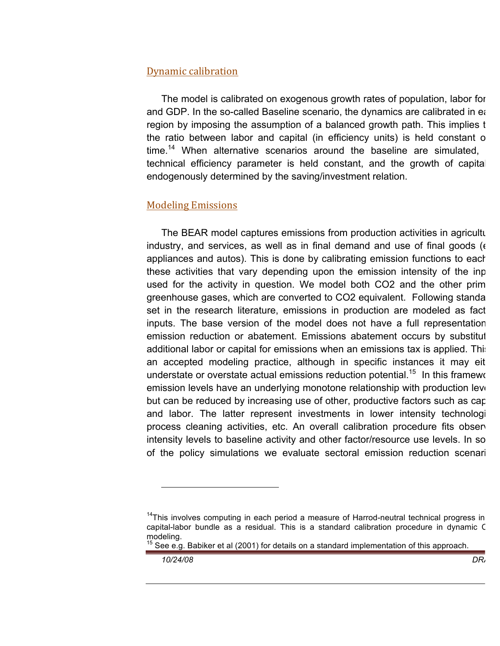#### Dynamic calibration

The model is calibrated on exogenous growth rates of population, labor force, and GDP. In the so-called Baseline scenario, the dynamics are calibrated in  $e_i$ region by imposing the assumption of a balanced growth path. This implies t the ratio between labor and capital (in efficiency units) is held constant o time.<sup>14</sup> When alternative scenarios around the baseline are simulated, technical efficiency parameter is held constant, and the growth of capital endogenously determined by the saving/investment relation.

#### **Modeling Emissions**

The BEAR model captures emissions from production activities in agriculture. industry, and services, as well as in final demand and use of final goods  $(e)$ appliances and autos). This is done by calibrating emission functions to each these activities that vary depending upon the emission intensity of the inp used for the activity in question. We model both CO2 and the other prim greenhouse gases, which are converted to CO2 equivalent. Following standards set in the research literature, emissions in production are modeled as fact inputs. The base version of the model does not have a full representation emission reduction or abatement. Emissions abatement occurs by substitut additional labor or capital for emissions when an emissions tax is applied. This an accepted modeling practice, although in specific instances it may eit understate or overstate actual emissions reduction potential.<sup>15</sup> In this framework emission levels have an underlying monotone relationship with production level but can be reduced by increasing use of other, productive factors such as capital and labor. The latter represent investments in lower intensity technologi process cleaning activities, etc. An overall calibration procedure fits observed intensity levels to baseline activity and other factor/resource use levels. In so of the policy simulations we evaluate sectoral emission reduction scenario

 $\overline{a}$ 

<sup>&</sup>lt;sup>14</sup>This involves computing in each period a measure of Harrod-neutral technical progress in capital-labor bundle as a residual. This is a standard calibration procedure in dynamic CGE modeling.

 $15$  See e.g. Babiker et al (2001) for details on a standard implementation of this approach.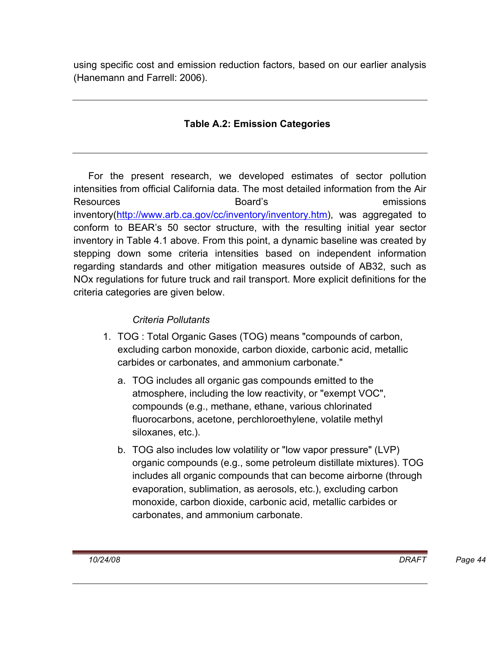using specific cost and emission reduction factors, based on our earlier analysis (Hanemann and Farrell: 2006).

### **Table A.2: Emission Categories**

For the present research, we developed estimates of sector pollution intensities from official California data. The most detailed information from the Air Resources **Board's** Board's emissions emissions inventory(http://www.arb.ca.gov/cc/inventory/inventory.htm), was aggregated to conform to BEAR's 50 sector structure, with the resulting initial year sector inventory in Table 4.1 above. From this point, a dynamic baseline was created by stepping down some criteria intensities based on independent information regarding standards and other mitigation measures outside of AB32, such as NOx regulations for future truck and rail transport. More explicit definitions for the criteria categories are given below.

#### *Criteria Pollutants*

- 1. TOG : Total Organic Gases (TOG) means "compounds of carbon, excluding carbon monoxide, carbon dioxide, carbonic acid, metallic carbides or carbonates, and ammonium carbonate."
	- a. TOG includes all organic gas compounds emitted to the atmosphere, including the low reactivity, or "exempt VOC", compounds (e.g., methane, ethane, various chlorinated fluorocarbons, acetone, perchloroethylene, volatile methyl siloxanes, etc.).
	- b. TOG also includes low volatility or "low vapor pressure" (LVP) organic compounds (e.g., some petroleum distillate mixtures). TOG includes all organic compounds that can become airborne (through evaporation, sublimation, as aerosols, etc.), excluding carbon monoxide, carbon dioxide, carbonic acid, metallic carbides or carbonates, and ammonium carbonate.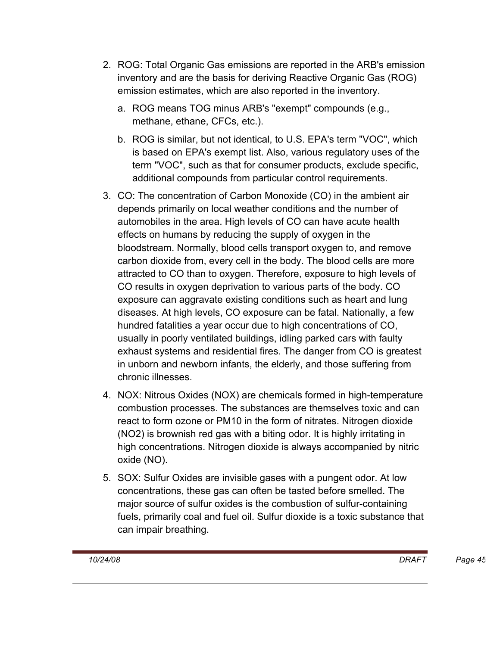- 2. ROG: Total Organic Gas emissions are reported in the ARB's emission inventory and are the basis for deriving Reactive Organic Gas (ROG) emission estimates, which are also reported in the inventory.
	- a. ROG means TOG minus ARB's "exempt" compounds (e.g., methane, ethane, CFCs, etc.).
	- b. ROG is similar, but not identical, to U.S. EPA's term "VOC", which is based on EPA's exempt list. Also, various regulatory uses of the term "VOC", such as that for consumer products, exclude specific, additional compounds from particular control requirements.
- 3. CO: The concentration of Carbon Monoxide (CO) in the ambient air depends primarily on local weather conditions and the number of automobiles in the area. High levels of CO can have acute health effects on humans by reducing the supply of oxygen in the bloodstream. Normally, blood cells transport oxygen to, and remove carbon dioxide from, every cell in the body. The blood cells are more attracted to CO than to oxygen. Therefore, exposure to high levels of CO results in oxygen deprivation to various parts of the body. CO exposure can aggravate existing conditions such as heart and lung diseases. At high levels, CO exposure can be fatal. Nationally, a few hundred fatalities a year occur due to high concentrations of CO, usually in poorly ventilated buildings, idling parked cars with faulty exhaust systems and residential fires. The danger from CO is greatest in unborn and newborn infants, the elderly, and those suffering from chronic illnesses.
- 4. NOX: Nitrous Oxides (NOX) are chemicals formed in high-temperature combustion processes. The substances are themselves toxic and can react to form ozone or PM10 in the form of nitrates. Nitrogen dioxide (NO2) is brownish red gas with a biting odor. It is highly irritating in high concentrations. Nitrogen dioxide is always accompanied by nitric oxide (NO).
- 5. SOX: Sulfur Oxides are invisible gases with a pungent odor. At low concentrations, these gas can often be tasted before smelled. The major source of sulfur oxides is the combustion of sulfur-containing fuels, primarily coal and fuel oil. Sulfur dioxide is a toxic substance that can impair breathing.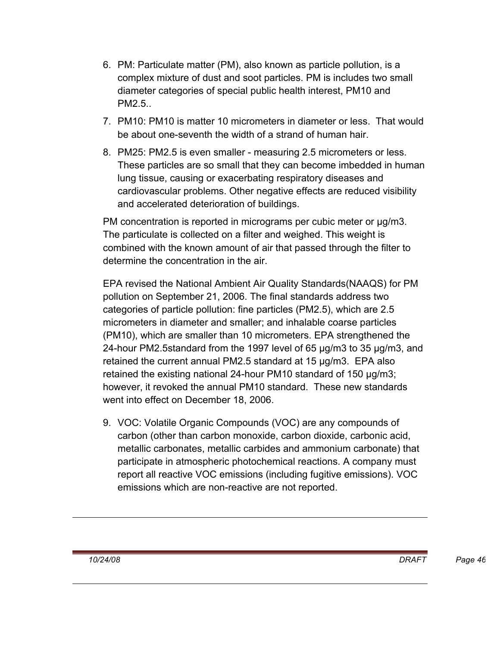- 6. PM: Particulate matter (PM), also known as particle pollution, is a complex mixture of dust and soot particles. PM is includes two small diameter categories of special public health interest, PM10 and PM2.5..
- 7. PM10: PM10 is matter 10 micrometers in diameter or less. That would be about one-seventh the width of a strand of human hair.
- 8. PM25: PM2.5 is even smaller measuring 2.5 micrometers or less. These particles are so small that they can become imbedded in human lung tissue, causing or exacerbating respiratory diseases and cardiovascular problems. Other negative effects are reduced visibility and accelerated deterioration of buildings.

PM concentration is reported in micrograms per cubic meter or µg/m3. The particulate is collected on a filter and weighed. This weight is combined with the known amount of air that passed through the filter to determine the concentration in the air.

EPA revised the National Ambient Air Quality Standards(NAAQS) for PM pollution on September 21, 2006. The final standards address two categories of particle pollution: fine particles (PM2.5), which are 2.5 micrometers in diameter and smaller; and inhalable coarse particles (PM10), which are smaller than 10 micrometers. EPA strengthened the 24-hour PM2.5standard from the 1997 level of 65 µg/m3 to 35 µg/m3, and retained the current annual PM2.5 standard at 15 µg/m3. EPA also retained the existing national 24-hour PM10 standard of 150 µg/m3; however, it revoked the annual PM10 standard. These new standards went into effect on December 18, 2006.

9. VOC: Volatile Organic Compounds (VOC) are any compounds of carbon (other than carbon monoxide, carbon dioxide, carbonic acid, metallic carbonates, metallic carbides and ammonium carbonate) that participate in atmospheric photochemical reactions. A company must report all reactive VOC emissions (including fugitive emissions). VOC emissions which are non-reactive are not reported.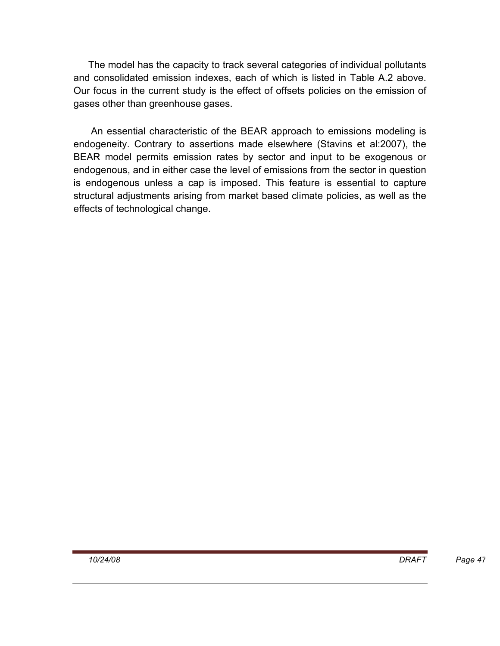The model has the capacity to track several categories of individual pollutants and consolidated emission indexes, each of which is listed in Table A.2 above. Our focus in the current study is the effect of offsets policies on the emission of gases other than greenhouse gases.

An essential characteristic of the BEAR approach to emissions modeling is endogeneity. Contrary to assertions made elsewhere (Stavins et al:2007), the BEAR model permits emission rates by sector and input to be exogenous or endogenous, and in either case the level of emissions from the sector in question is endogenous unless a cap is imposed. This feature is essential to capture structural adjustments arising from market based climate policies, as well as the effects of technological change.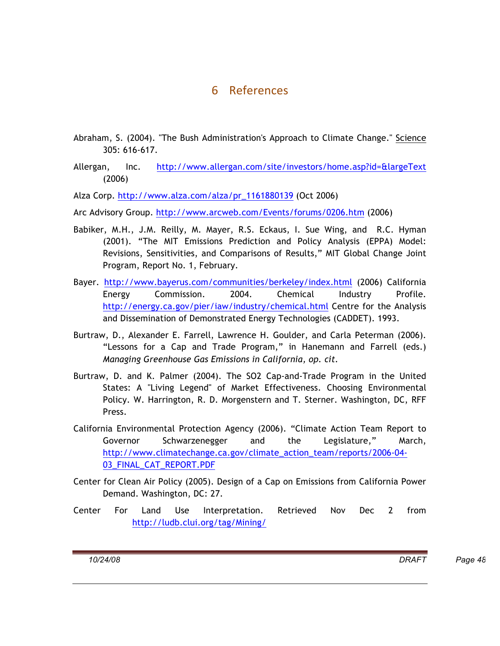# 6 References

- Abraham, S. (2004). "The Bush Administration's Approach to Climate Change." Science 305: 616-617.
- Allergan, Inc. http://www.allergan.com/site/investors/home.asp?id=&largeText (2006)

Alza Corp. http://www.alza.com/alza/pr\_1161880139 (Oct 2006)

- Arc Advisory Group. http://www.arcweb.com/Events/forums/0206.htm (2006)
- Babiker, M.H., J.M. Reilly, M. Mayer, R.S. Eckaus, I. Sue Wing, and R.C. Hyman (2001). "The MIT Emissions Prediction and Policy Analysis (EPPA) Model: Revisions, Sensitivities, and Comparisons of Results," MIT Global Change Joint Program, Report No. 1, February.
- Bayer. http://www.bayerus.com/communities/berkeley/index.html (2006) California Energy Commission. 2004. Chemical Industry Profile. http://energy.ca.gov/pier/iaw/industry/chemical.html Centre for the Analysis and Dissemination of Demonstrated Energy Technologies (CADDET). 1993.
- Burtraw, D., Alexander E. Farrell, Lawrence H. Goulder, and Carla Peterman (2006). "Lessons for a Cap and Trade Program," in Hanemann and Farrell (eds.) *Managing Greenhouse Gas Emissions in California, op. cit.*
- Burtraw, D. and K. Palmer (2004). The SO2 Cap-and-Trade Program in the United States: A "Living Legend" of Market Effectiveness. Choosing Environmental Policy. W. Harrington, R. D. Morgenstern and T. Sterner. Washington, DC, RFF Press.
- California Environmental Protection Agency (2006). "Climate Action Team Report to Governor Schwarzenegger and the Legislature," March, http://www.climatechange.ca.gov/climate\_action\_team/reports/2006-04- 03\_FINAL\_CAT\_REPORT.PDF
- Center for Clean Air Policy (2005). Design of a Cap on Emissions from California Power Demand. Washington, DC: 27.
- Center For Land Use Interpretation. Retrieved Nov Dec 2 from http://ludb.clui.org/tag/Mining/

*10/24/08 DRAFT Page 48*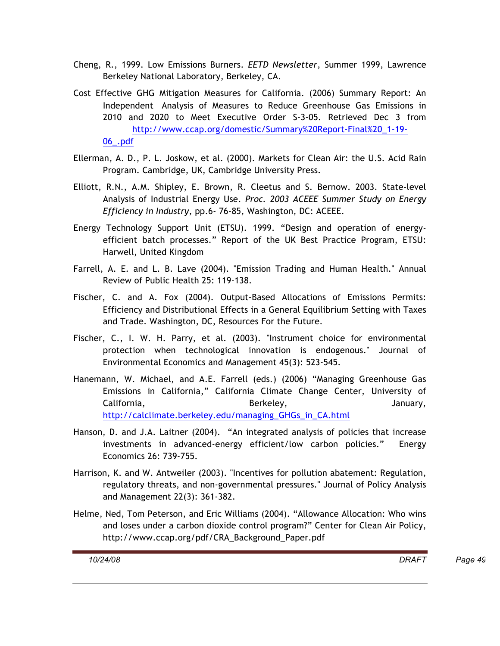- Cheng, R., 1999. Low Emissions Burners. *EETD Newsletter*, Summer 1999, Lawrence Berkeley National Laboratory, Berkeley, CA.
- Cost Effective GHG Mitigation Measures for California. (2006) Summary Report: An Independent Analysis of Measures to Reduce Greenhouse Gas Emissions in 2010 and 2020 to Meet Executive Order S-3-05. Retrieved Dec 3 from http://www.ccap.org/domestic/Summary%20Report-Final%20\_1-19- 06\_.pdf
- Ellerman, A. D., P. L. Joskow, et al. (2000). Markets for Clean Air: the U.S. Acid Rain Program. Cambridge, UK, Cambridge University Press.
- Elliott, R.N., A.M. Shipley, E. Brown, R. Cleetus and S. Bernow. 2003. State-level Analysis of Industrial Energy Use. *Proc. 2003 ACEEE Summer Study on Energy Efficiency in Industry*, pp.6- 76-85, Washington, DC: ACEEE.
- Energy Technology Support Unit (ETSU). 1999. "Design and operation of energyefficient batch processes." Report of the UK Best Practice Program, ETSU: Harwell, United Kingdom
- Farrell, A. E. and L. B. Lave (2004). "Emission Trading and Human Health." Annual Review of Public Health 25: 119-138.
- Fischer, C. and A. Fox (2004). Output-Based Allocations of Emissions Permits: Efficiency and Distributional Effects in a General Equilibrium Setting with Taxes and Trade. Washington, DC, Resources For the Future.
- Fischer, C., I. W. H. Parry, et al. (2003). "Instrument choice for environmental protection when technological innovation is endogenous." Journal of Environmental Economics and Management 45(3): 523-545.
- Hanemann, W. Michael, and A.E. Farrell (eds.) (2006) "Managing Greenhouse Gas Emissions in California," California Climate Change Center, University of California, Berkeley, January, http://calclimate.berkeley.edu/managing\_GHGs\_in\_CA.html
- Hanson, D. and J.A. Laitner (2004). "An integrated analysis of policies that increase investments in advanced-energy efficient/low carbon policies." Energy Economics 26: 739-755.
- Harrison, K. and W. Antweiler (2003). "Incentives for pollution abatement: Regulation, regulatory threats, and non-governmental pressures." Journal of Policy Analysis and Management 22(3): 361-382.
- Helme, Ned, Tom Peterson, and Eric Williams (2004). "Allowance Allocation: Who wins and loses under a carbon dioxide control program?" Center for Clean Air Policy, http://www.ccap.org/pdf/CRA\_Background\_Paper.pdf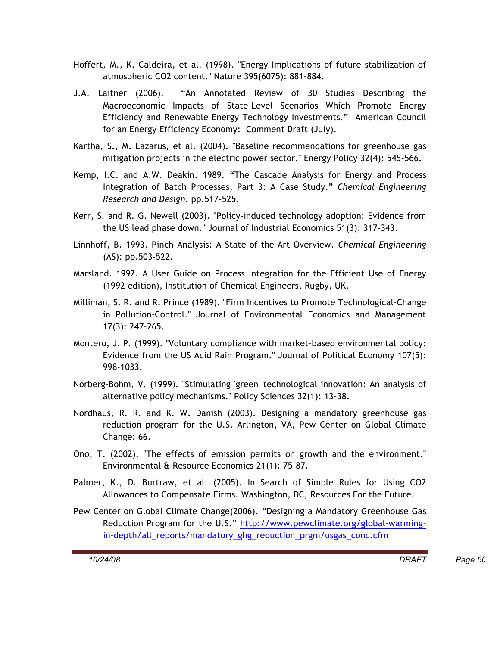- Hoffert, M., K. Caldeira, et al. (1998). "Energy Implications of future stabilization of atmospheric CO2 content." Nature 395(6075): 881-884.
- J.A. Laitner (2006). "An Annotated Review of 30 Studies Describing the Macroeconomic Impacts of State-Level Scenarios Which Promote Energy Efficiency and Renewable Energy Technology Investments." American Council for an Energy Efficiency Economy: Comment Draft (July).
- Kartha, S., M. Lazarus, et al. (2004). "Baseline recommendations for greenhouse gas mitigation projects in the electric power sector." Energy Policy 32(4): 545-566.
- Kemp, I.C. and A.W. Deakin. 1989. "The Cascade Analysis for Energy and Process Integration of Batch Processes, Part 3: A Case Study." *Chemical Engineering Research and Design*. pp.517-525.
- Kerr, S. and R. G. Newell (2003). "Policy-induced technology adoption: Evidence from the US lead phase down." Journal of Industrial Economics 51(3): 317-343.
- Linnhoff, B. 1993. Pinch Analysis: A State-of-the-Art Overview. *Chemical Engineering*  (AS): pp.503-522.
- Marsland. 1992. A User Guide on Process Integration for the Efficient Use of Energy (1992 edition), Institution of Chemical Engineers, Rugby, UK.
- Milliman, S. R. and R. Prince (1989). "Firm Incentives to Promote Technological-Change in Pollution-Control." Journal of Environmental Economics and Management 17(3): 247-265.
- Montero, J. P. (1999). "Voluntary compliance with market-based environmental policy: Evidence from the US Acid Rain Program." Journal of Political Economy 107(5): 998-1033.
- Norberg-Bohm, V. (1999). "Stimulating 'green' technological innovation: An analysis of alternative policy mechanisms." Policy Sciences 32(1): 13-38.
- Nordhaus, R. R. and K. W. Danish (2003). Designing a mandatory greenhouse gas reduction program for the U.S. Arlington, VA, Pew Center on Global Climate Change: 66.
- Ono, T. (2002). "The effects of emission permits on growth and the environment." Environmental & Resource Economics 21(1): 75-87.
- Palmer, K., D. Burtraw, et al. (2005). In Search of Simple Rules for Using CO2 Allowances to Compensate Firms. Washington, DC, Resources For the Future.
- Pew Center on Global Climate Change(2006). "Designing a Mandatory Greenhouse Gas Reduction Program for the U.S." http://www.pewclimate.org/global-warmingin-depth/all\_reports/mandatory\_ghg\_reduction\_prgm/usgas\_conc.cfm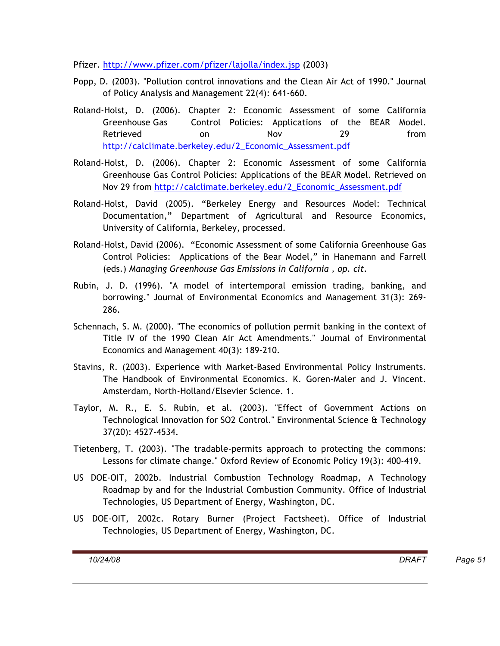Pfizer. http://www.pfizer.com/pfizer/lajolla/index.jsp (2003)

- Popp, D. (2003). "Pollution control innovations and the Clean Air Act of 1990." Journal of Policy Analysis and Management 22(4): 641-660.
- Roland-Holst, D. (2006). Chapter 2: Economic Assessment of some California Greenhouse Gas Control Policies: Applications of the BEAR Model. Retrieved on Nov 29 from http://calclimate.berkeley.edu/2\_Economic\_Assessment.pdf
- Roland-Holst, D. (2006). Chapter 2: Economic Assessment of some California Greenhouse Gas Control Policies: Applications of the BEAR Model. Retrieved on Nov 29 from http://calclimate.berkeley.edu/2\_Economic\_Assessment.pdf
- Roland-Holst, David (2005). "Berkeley Energy and Resources Model: Technical Documentation," Department of Agricultural and Resource Economics, University of California, Berkeley, processed.
- Roland-Holst, David (2006). "Economic Assessment of some California Greenhouse Gas Control Policies: Applications of the Bear Model," in Hanemann and Farrell (eds.) *Managing Greenhouse Gas Emissions in California , op. cit.*
- Rubin, J. D. (1996). "A model of intertemporal emission trading, banking, and borrowing." Journal of Environmental Economics and Management 31(3): 269- 286.
- Schennach, S. M. (2000). "The economics of pollution permit banking in the context of Title IV of the 1990 Clean Air Act Amendments." Journal of Environmental Economics and Management 40(3): 189-210.
- Stavins, R. (2003). Experience with Market-Based Environmental Policy Instruments. The Handbook of Environmental Economics. K. Goren-Maler and J. Vincent. Amsterdam, North-Holland/Elsevier Science. 1.
- Taylor, M. R., E. S. Rubin, et al. (2003). "Effect of Government Actions on Technological Innovation for SO2 Control." Environmental Science & Technology 37(20): 4527-4534.
- Tietenberg, T. (2003). "The tradable-permits approach to protecting the commons: Lessons for climate change." Oxford Review of Economic Policy 19(3): 400-419.
- US DOE-OIT, 2002b. Industrial Combustion Technology Roadmap, A Technology Roadmap by and for the Industrial Combustion Community. Office of Industrial Technologies, US Department of Energy, Washington, DC.
- US DOE-OIT, 2002c. Rotary Burner (Project Factsheet). Office of Industrial Technologies, US Department of Energy, Washington, DC.